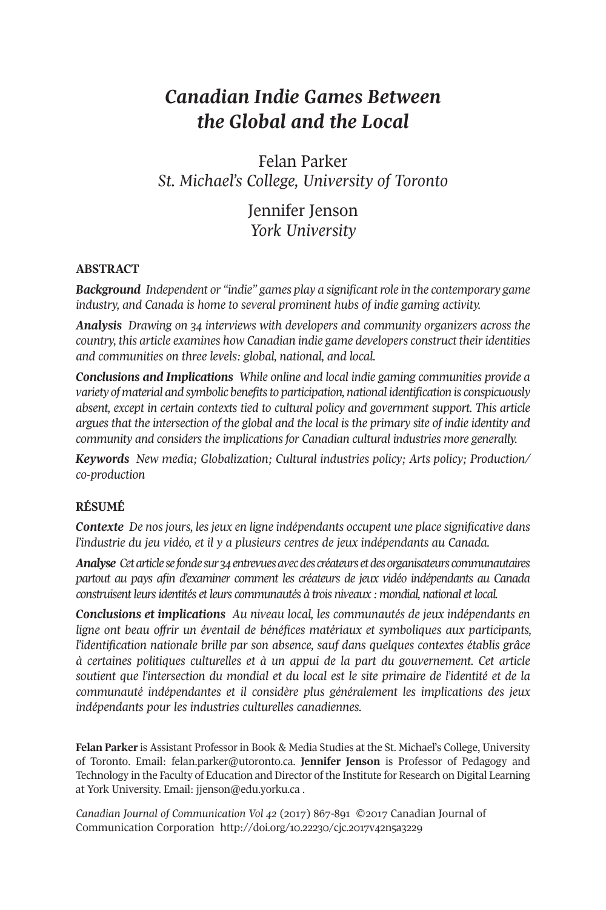# *Canadian Indie Games Between the Global and the Local*

Felan Parker *St. Michael's College, University of Toronto*

> Jennifer Jenson *York University*

### **ABSTRACT**

*Background Independent or "indie" games play a significantrole in the contemporary game industry, and Canada is home to several prominent hubs of indie gaming activity.*

*Analysis Drawing on 34 interviews with developers and community organizers across the country, this article examines how Canadian indie game developers construct theiridentities and communities on three levels: global, national, and local.*

*Conclusions and Implications While online and local indie gaming communities provide a variety of material and symbolic benefitsto participation, national identification is conspicuously absent, except in certain contexts tied to cultural policy and government support. This article argues that the intersection of the global and the local is the primary site of indie identity and community and considers the implications for Canadian cultural industries more generally.*

*Keywords New media; Globalization; Cultural industries policy; Arts policy; Production/ co-production*

## **RÉSUMÉ**

*Contexte De nos jours, les jeux en ligne indépendants occupent une place significative dans l'industrie du jeu vidéo, et il y a plusieurs centres de jeux indépendants au Canada.*

*Analyse Cetarticlesefondesur34entrevuesavecdes créateursetdesorganisateurs communautaires partout au pays afin d'examiner comment les créateurs de jeux vidéo indépendants au Canada construisent leursidentités et leurs communautés à trois niveaux : mondial, national et local.*

*Conclusions et implications Au niveau local, les communautés de jeux indépendants en ligne ont beau offrir un éventail de bénéfices matériaux et symboliques aux participants, l'identification nationale brille par son absence, sauf dans quelques contextes établis grâce à certaines politiques culturelles et à un appui de la part du gouvernement. Cet article soutient que l'intersection du mondial et du local est le site primaire de l'identité et de la communauté indépendantes et il considère plus généralement les implications des jeux indépendants pour les industries culturelles canadiennes.*

**Felan Parker** is Assistant Professor in Book & Media Studies at the St. Michael's College, University of Toronto. Email: [felan.parker@utoronto.ca.](mailto:felan.parker@utoronto.ca) **Jennifer Jenson** is Professor of Pedagogy and Technology in the Faculty of Education and Director of the Institute for Research on Digital Learning at York University. Email: [jjenson@edu.yorku.ca](mailto:jjenson@edu.yorku.ca) .

*Canadian Journal of [Communication](http://www.cjc-online.ca) Vol 42* (2017) 867-891 ©2017 Canadian Journal of Communication Corporation <http://doi.org/10.22230/cjc.2017v42n5a3229>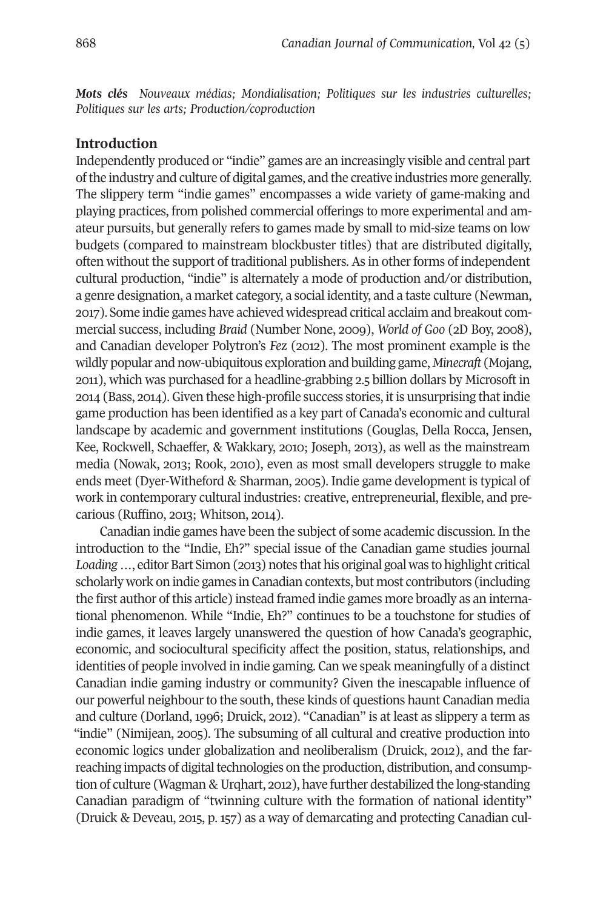*Mots clés Nouveaux médias; Mondialisation; Politiques sur les industries culturelles; Politiques sur les arts; Production/coproduction*

### **Introduction**

Independently produced or "indie" games are an increasingly visible and central part ofthe industry and culture of digital games, and the creative industries more generally. The slippery term "indie games" encompasses a wide variety of game-making and playing practices, from polished commercial offerings to more experimental and amateur pursuits, but generally refers to games made by small to mid-size teams on low budgets (compared to mainstream blockbuster titles) that are distributed digitally, often without the support of traditional publishers. As in other forms of independent cultural production, "indie" is alternately a mode of production and/or distribution, a genre designation, a market category, a social identity, and a taste culture (Newman, 2017). Some indie games have achieved widespread critical acclaim and breakout commercial success, including *Braid* (Number None, 2009), *World of Goo* (2D Boy, 2008), and Canadian developer Polytron's *Fez* (2012). The most prominent example is the wildly popular and now-ubiquitous exploration and building game, *Minecraft* (Mojang, 2011), which was purchased for a headline-grabbing 2.5 billion dollars by Microsoft in 2014 (Bass, 2014). Given these high-profile success stories, it is unsurprising that indie game production has been identified as a key part of Canada's economic and cultural landscape by academic and government institutions (Gouglas, Della Rocca, Jensen, Kee, Rockwell, Schaeffer, & Wakkary, 2010; Joseph, 2013), as well as the mainstream media (Nowak, 2013; Rook, 2010), even as most small developers struggle to make ends meet (Dyer-Witheford & Sharman, 2005). Indie game development is typical of work in contemporary cultural industries: creative, entrepreneurial, flexible, and precarious (Ruffino, 2013; Whitson, 2014).

Canadian indie games have been the subject of some academic discussion. In the introduction to the "Indie, Eh?" special issue of the Canadian game studies journal Loading ..., editor Bart Simon (2013) notes that his original goal was to highlight critical scholarly work on indie games in Canadian contexts, but most contributors (including the first author of this article) instead framed indie games more broadly as an international phenomenon. While "Indie, Eh?" continues to be a touchstone for studies of indie games, it leaves largely unanswered the question of how Canada's geographic, economic, and sociocultural specificity affect the position, status, relationships, and identities of people involved in indie gaming. Can we speak meaningfully of a distinct Canadian indie gaming industry or community? Given the inescapable influence of our powerful neighbourto the south, these kinds of questions haunt Canadian media and culture (Dorland, 1996; Druick, 2012). "Canadian" is at least as slippery a term as "indie" (Nimijean, 2005). The subsuming of all cultural and creative production into economic logics under globalization and neoliberalism (Druick, 2012), and the farreaching impacts of digital technologies on the production, distribution, and consumption of culture (Wagman & Urqhart, 2012), have further destabilized the long-standing Canadian paradigm of "twinning culture with the formation of national identity" (Druick & Deveau, 2015, p. 157) as a way of demarcating and protecting Canadian cul-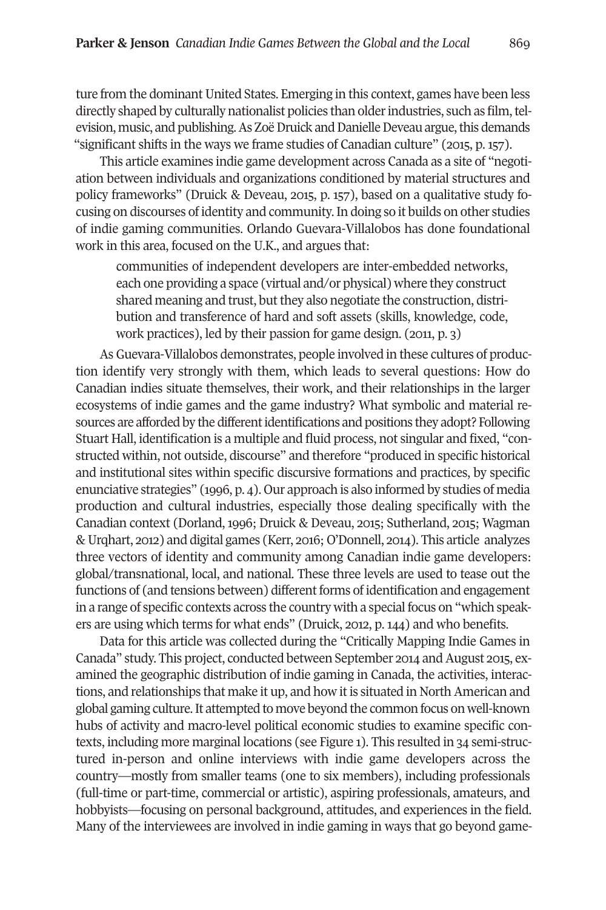ture from the dominant United States. Emerging in this context, games have been less directly shaped by culturally nationalist policies than older industries, such as film, television, music, and publishing. As Zoë Druick and Danielle Deveau argue, this demands "significant shifts in the ways we frame studies of Canadian culture" (2015, p. 157).

This article examines indie game development across Canada as a site of "negotiation between individuals and organizations conditioned by material structures and policy frameworks" (Druick & Deveau, 2015, p. 157), based on a qualitative study focusing on discourses of identity and community.In doing so it builds on other studies of indie gaming communities. Orlando Guevara-Villalobos has done foundational work in this area, focused on the U.K., and argues that:

communities of independent developers are inter-embedded networks, each one providing a space (virtual and/or physical) where they construct shared meaning and trust, but they also negotiate the construction, distribution and transference of hard and soft assets (skills, knowledge, code, work practices), led by their passion for game design. (2011, p. 3)

As Guevara-Villalobos demonstrates, people involved in these cultures of production identify very strongly with them, which leads to several questions: How do Canadian indies situate themselves, their work, and their relationships in the larger ecosystems of indie games and the game industry? What symbolic and material resources are afforded by the differentidentifications and positions they adopt? Following Stuart Hall, identification is a multiple and fluid process, not singular and fixed, "constructed within, not outside, discourse" and therefore "produced in specific historical and institutional sites within specific discursive formations and practices, by specific enunciative strategies" (1996, p. 4). Our approach is also informed by studies of media production and cultural industries, especially those dealing specifically with the Canadian context (Dorland, 1996; Druick & Deveau, 2015; Sutherland, 2015; Wagman & Urqhart, 2012) and digital games (Kerr, 2016; O'Donnell, 2014). This article analyzes three vectors of identity and community among Canadian indie game developers: global/transnational, local, and national. These three levels are used to tease out the functions of (and tensions between) different forms of identification and engagement in a range of specific contexts across the country with a special focus on "which speakers are using which terms for what ends" (Druick, 2012, p. 144) and who benefits.

Data for this article was collected during the "Critically Mapping Indie Games in Canada" study. This project, conducted between September 2014 and August 2015, examined the geographic distribution of indie gaming in Canada, the activities, interactions, and relationships that make it up, and how it is situated in North American and global gaming culture.It attempted to move beyond the common focus on well-known hubs of activity and macro-level political economic studies to examine specific contexts, including more marginal locations (see Figure 1). This resulted in 34 semi-structured in-person and online interviews with indie game developers across the country—mostly from smaller teams (one to six members), including professionals (full-time or part-time, commercial or artistic), aspiring professionals, amateurs, and hobbyists—focusing on personal background, attitudes, and experiences in the field. Many of the interviewees are involved in indie gaming in ways that go beyond game-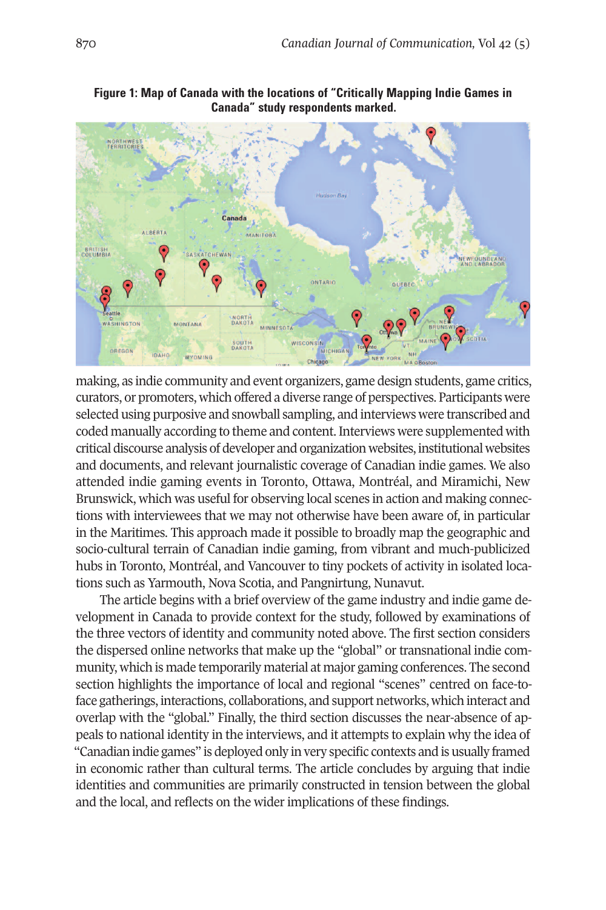

**Figure 1: Map of Canada with the locations of "Critically Mapping Indie Games in Canada" study respondents marked.**

making, as indie community and event organizers, game design students, game critics, curators, or promoters, which offered a diverse range of perspectives. Participants were selected using purposive and snowball sampling, and interviews were transcribed and coded manually according to theme and content. Interviews were supplemented with critical discourse analysis of developer and organization websites, institutional websites and documents, and relevant journalistic coverage of Canadian indie games. We also attended indie gaming events in Toronto, Ottawa, Montréal, and Miramichi, New Brunswick, which was useful for observing local scenes in action and making connections with interviewees that we may not otherwise have been aware of, in particular in the Maritimes. This approach made it possible to broadly map the geographic and socio-cultural terrain of Canadian indie gaming, from vibrant and much-publicized hubs in Toronto, Montréal, and Vancouver to tiny pockets of activity in isolated locations such as Yarmouth, Nova Scotia, and Pangnirtung, Nunavut.

The article begins with a brief overview of the game industry and indie game development in Canada to provide context for the study, followed by examinations of the three vectors of identity and community noted above. The first section considers the dispersed online networks that make up the "global" or transnational indie community, which is made temporarily material at major gaming conferences. The second section highlights the importance of local and regional "scenes" centred on face-toface gatherings, interactions, collaborations, and support networks, which interact and overlap with the "global." Finally, the third section discusses the near-absence of appeals to national identity in the interviews, and it attempts to explain why the idea of "Canadian indie games" is deployed only in very specific contexts and is usually framed in economic rather than cultural terms. The article concludes by arguing that indie identities and communities are primarily constructed in tension between the global and the local, and reflects on the wider implications of these findings.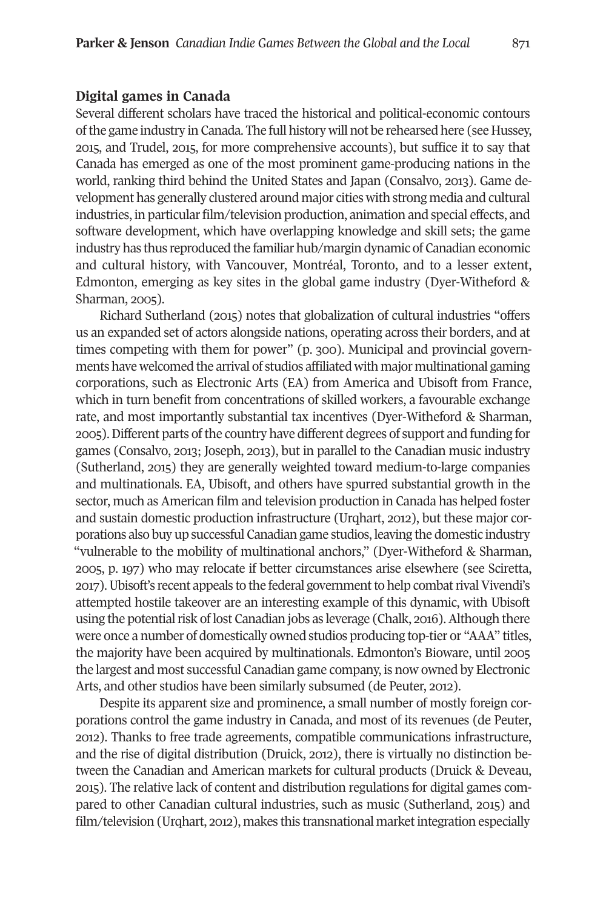#### **Digital games in Canada**

Several different scholars have traced the historical and political-economic contours ofthe game industry in Canada. The full history will not be rehearsed here (see Hussey, 2015, and Trudel, 2015, for more comprehensive accounts), but suffice it to say that Canada has emerged as one of the most prominent game-producing nations in the world, ranking third behind the United States and Japan (Consalvo, 2013). Game development has generally clustered around major cities with strong media and cultural industries, in particular film/television production, animation and special effects, and software development, which have overlapping knowledge and skill sets; the game industry has thus reproduced the familiar hub/margin dynamic of Canadian economic and cultural history, with Vancouver, Montréal, Toronto, and to a lesser extent, Edmonton, emerging as key sites in the global game industry (Dyer-Witheford & Sharman, 2005).

Richard Sutherland (2015) notes that globalization of cultural industries "offers us an expanded set of actors alongside nations, operating across their borders, and at times competing with them for power" (p. 300). Municipal and provincial governments have welcomed the arrival of studios affiliated with major multinational gaming corporations, such as Electronic Arts (EA) from America and Ubisoft from France, which in turn benefit from concentrations of skilled workers, a favourable exchange rate, and most importantly substantial tax incentives (Dyer-Witheford & Sharman, 2005).Different parts ofthe country have different degrees of support and funding for games (Consalvo, 2013; Joseph, 2013), but in parallel to the Canadian music industry (Sutherland, 2015) they are generally weighted toward medium-to-large companies and multinationals. EA, Ubisoft, and others have spurred substantial growth in the sector, much as American film and television production in Canada has helped foster and sustain domestic production infrastructure (Urqhart, 2012), but these major corporations also buy up successful Canadian game studios, leaving the domestic industry "vulnerable to the mobility of multinational anchors," (Dyer-Witheford & Sharman, 2005, p. 197) who may relocate if better circumstances arise elsewhere (see Sciretta, 2017). Ubisoft's recent appeals to the federal government to help combat rival Vivendi's attempted hostile takeover are an interesting example of this dynamic, with Ubisoft using the potential risk of lost Canadian jobs as leverage (Chalk, 2016). Although there were once a number of domestically owned studios producing top-tier or "AAA" titles, the majority have been acquired by multinationals. Edmonton's Bioware, until 2005 the largest and most successful Canadian game company, is now owned by Electronic Arts, and other studios have been similarly subsumed (de Peuter, 2012).

Despite its apparent size and prominence, a small number of mostly foreign corporations control the game industry in Canada, and most of its revenues (de Peuter, 2012). Thanks to free trade agreements, compatible communications infrastructure, and the rise of digital distribution (Druick, 2012), there is virtually no distinction between the Canadian and American markets for cultural products (Druick & Deveau, 2015). The relative lack of content and distribution regulations for digital games compared to other Canadian cultural industries, such as music (Sutherland, 2015) and film/television (Urqhart, 2012), makes this transnational market integration especially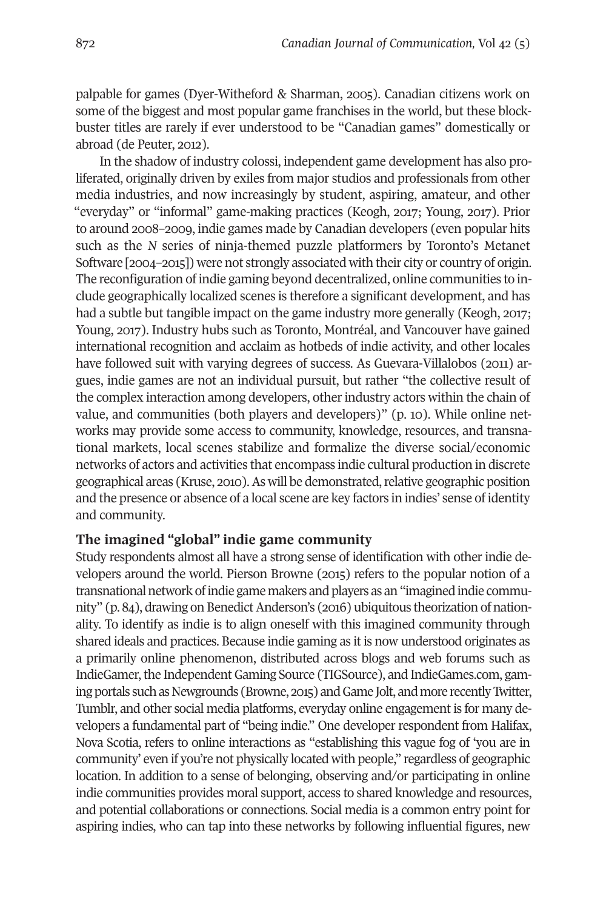palpable for games (Dyer-Witheford & Sharman, 2005). Canadian citizens work on some of the biggest and most popular game franchises in the world, but these blockbuster titles are rarely if ever understood to be "Canadian games" domestically or abroad (de Peuter, 2012).

In the shadow of industry colossi, independent game development has also proliferated, originally driven by exiles from major studios and professionals from other media industries, and now increasingly by student, aspiring, amateur, and other "everyday" or "informal" game-making practices (Keogh, 2017; Young, 2017). Prior to around 2008–2009, indie games made by Canadian developers (even popular hits such as the *N* series of ninja-themed puzzle platformers by Toronto's Metanet Software [2004–2015]) were not strongly associated with their city or country of origin. The reconfiguration of indie gaming beyond decentralized, online communities to include geographically localized scenes is therefore a significant development, and has had a subtle but tangible impact on the game industry more generally (Keogh, 2017; Young, 2017). Industry hubs such as Toronto, Montréal, and Vancouver have gained international recognition and acclaim as hotbeds of indie activity, and other locales have followed suit with varying degrees of success. As Guevara-Villalobos (2011) argues, indie games are not an individual pursuit, but rather "the collective result of the complex interaction among developers, otherindustry actors within the chain of value, and communities (both players and developers)" (p. 10). While online networks may provide some access to community, knowledge, resources, and transnational markets, local scenes stabilize and formalize the diverse social/economic networks of actors and activities that encompass indie cultural production in discrete geographical areas (Kruse, 2010).As will be demonstrated,relative geographic position and the presence or absence of a local scene are key factors in indies' sense of identity and community.

## **The imagined "global" indie game community**

Study respondents almost all have a strong sense of identification with other indie developers around the world. Pierson Browne (2015) refers to the popular notion of a transnational network of indie game makers and players as an "imagined indie community" (p. 84), drawing on Benedict Anderson's (2016) ubiquitous theorization of nationality. To identify as indie is to align oneself with this imagined community through shared ideals and practices. Because indie gaming as it is now understood originates as a primarily online phenomenon, distributed across blogs and web forums such as IndieGamer, the Independent Gaming Source (TIGSource), and IndieGames.com, gaming portals such as Newgrounds (Browne, 2015) and Game Jolt, and more recently Twitter, Tumblr, and other social media platforms, everyday online engagement is for many developers a fundamental part of "being indie." One developer respondent from Halifax, Nova Scotia, refers to online interactions as "establishing this vague fog of 'you are in community' even if you're not physically located with people," regardless of geographic location. In addition to a sense of belonging, observing and/or participating in online indie communities provides moral support, access to shared knowledge and resources, and potential collaborations or connections. Social media is a common entry point for aspiring indies, who can tap into these networks by following influential figures, new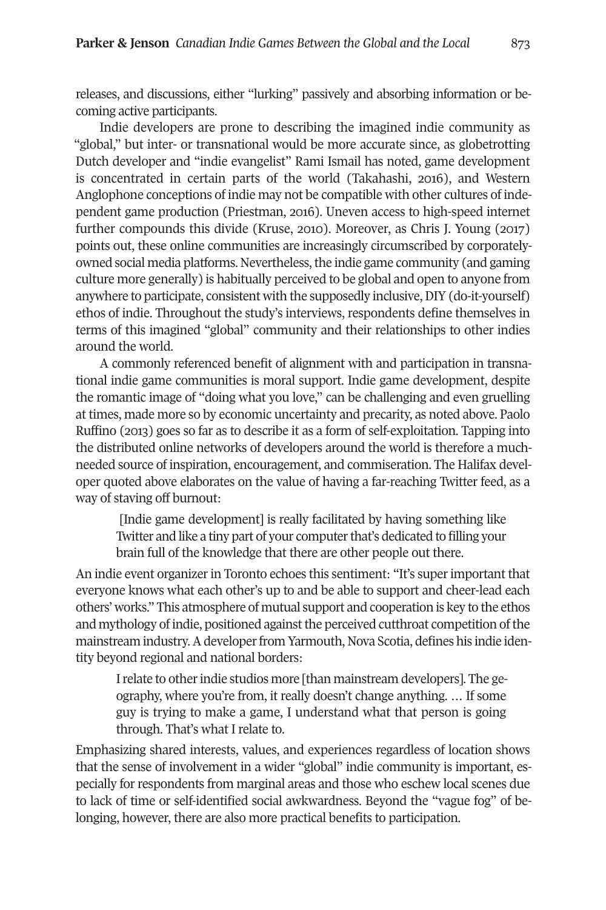releases, and discussions, either "lurking" passively and absorbing information or becoming active participants.

Indie developers are prone to describing the imagined indie community as "global," but inter- or transnational would be more accurate since, as globetrotting Dutch developer and "indie evangelist" Rami Ismail has noted, game development is concentrated in certain parts of the world (Takahashi, 2016), and Western Anglophone conceptions of indie may not be compatible with other cultures of independent game production (Priestman, 2016). Uneven access to high-speed internet further compounds this divide (Kruse, 2010). Moreover, as Chris J. Young (2017) points out, these online communities are increasingly circumscribed by corporatelyowned social media platforms. Nevertheless, the indie game community (and gaming culture more generally) is habitually perceived to be global and open to anyone from anywhere to participate, consistent with the supposedly inclusive,DIY (do-it-yourself) ethos of indie. Throughout the study's interviews, respondents define themselves in terms of this imagined "global" community and their relationships to other indies around the world.

A commonly referenced benefit of alignment with and participation in transnational indie game communities is moral support. Indie game development, despite the romantic image of "doing what you love," can be challenging and even gruelling at times, made more so by economic uncertainty and precarity, as noted above. Paolo Ruffino (2013) goes so far as to describe it as a form of self-exploitation. Tapping into the distributed online networks of developers around the world is therefore a muchneeded source of inspiration, encouragement, and commiseration. The Halifax developer quoted above elaborates on the value of having a far-reaching Twitter feed, as a way of staving off burnout:

[Indie game development] is really facilitated by having something like Twitter and like a tiny part of your computer that's dedicated to filling your brain full of the knowledge that there are other people out there.

An indie event organizerin Toronto echoes this sentiment: "It's superimportant that everyone knows what each other's up to and be able to support and cheer-lead each others' works." This atmosphere of mutual support and cooperation is key to the ethos and mythology of indie, positioned against the perceived cutthroat competition of the mainstream industry. A developer from Yarmouth, Nova Scotia, defines his indie identity beyond regional and national borders:

I relate to other indie studios more [than mainstream developers]. The geography, where you're from, it really doesn't change anything. … If some guy is trying to make a game, I understand what that person is going through. That's what I relate to.

Emphasizing shared interests, values, and experiences regardless of location shows that the sense of involvement in a wider "global" indie community is important, especially for respondents from marginal areas and those who eschew local scenes due to lack of time or self-identified social awkwardness. Beyond the "vague fog" of belonging, however, there are also more practical benefits to participation.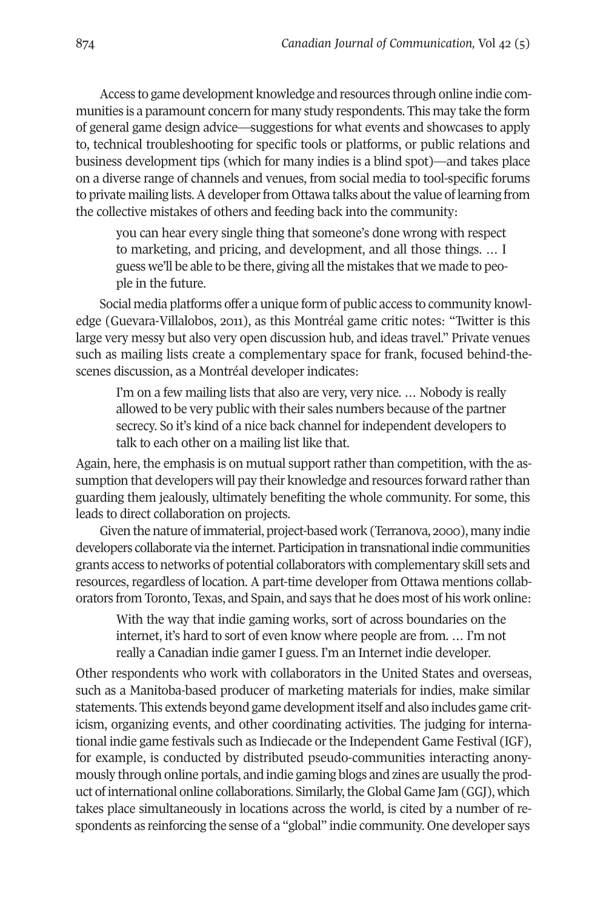Access to game development knowledge and resources through online indie communities is a paramount concern for many study respondents. This may take the form of general game design advice—suggestions for what events and showcases to apply to, technical troubleshooting for specific tools or platforms, or public relations and business development tips (which for many indies is a blind spot)—and takes place on a diverse range of channels and venues, from social media to tool-specific forums to private mailing lists. A developer from Ottawa talks about the value of learning from the collective mistakes of others and feeding back into the community:

you can hear every single thing that someone's done wrong with respect to marketing, and pricing, and development, and all those things. … I guess we'll be able to be there, giving all the mistakes that we made to people in the future.

Social media platforms offer a unique form of public access to community knowledge (Guevara-Villalobos, 2011), as this Montréal game critic notes: "Twitter is this large very messy but also very open discussion hub, and ideas travel." Private venues such as mailing lists create a complementary space for frank, focused behind-thescenes discussion, as a Montréal developer indicates:

I'm on a few mailing lists that also are very, very nice. … Nobody is really allowed to be very public with their sales numbers because of the partner secrecy. So it's kind of a nice back channel for independent developers to talk to each other on a mailing list like that.

Again, here, the emphasis is on mutual support rather than competition, with the assumption that developers will pay their knowledge and resources forward rather than guarding them jealously, ultimately benefiting the whole community. For some, this leads to direct collaboration on projects.

Given the nature ofimmaterial, project-based work (Terranova, 2000), many indie developers collaborate via the internet. Participation in transnational indie communities grants access to networks of potential collaborators with complementary skill sets and resources, regardless of location. A part-time developer from Ottawa mentions collaborators from Toronto, Texas, and Spain, and says that he does most of his work online:

With the way that indie gaming works, sort of across boundaries on the internet, it's hard to sort of even know where people are from. … I'm not really a Canadian indie gamer I guess. I'm an Internet indie developer.

Other respondents who work with collaborators in the United States and overseas, such as a Manitoba-based producer of marketing materials for indies, make similar statements. This extends beyond game developmentitself and also includes game criticism, organizing events, and other coordinating activities. The judging for international indie game festivals such as Indiecade orthe Independent Game Festival (IGF), for example, is conducted by distributed pseudo-communities interacting anonymously through online portals, and indie gaming blogs and zines are usually the product of international online collaborations. Similarly, the Global Game Jam (GGJ), which takes place simultaneously in locations across the world, is cited by a number of respondents as reinforcing the sense of a "global" indie community. One developer says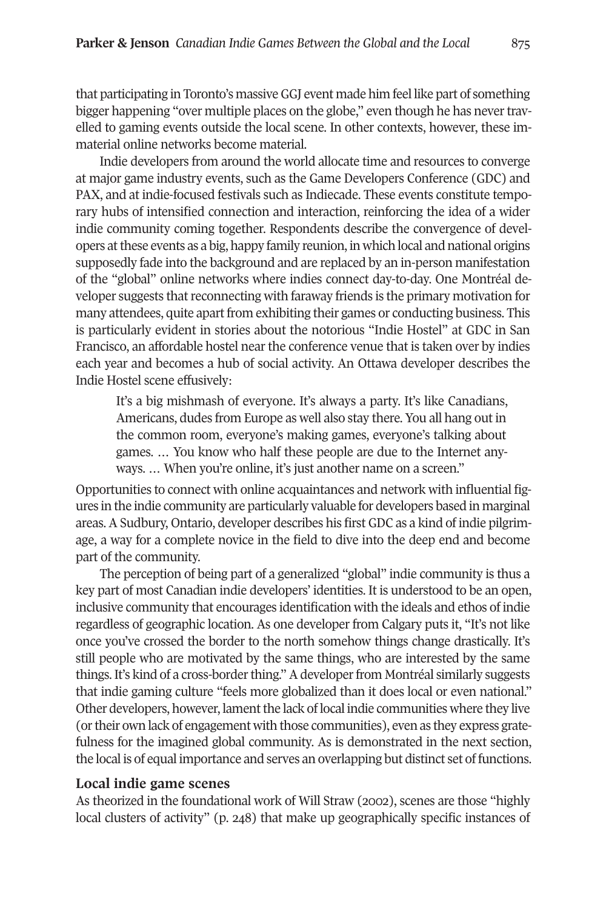that participating in Toronto's massiveGGJ event made him feel like part of something bigger happening "over multiple places on the globe," even though he has nevertravelled to gaming events outside the local scene. In other contexts, however, these immaterial online networks become material.

Indie developers from around the world allocate time and resources to converge at major game industry events, such as the Game Developers Conference (GDC) and PAX, and at indie-focused festivals such as Indiecade. These events constitute temporary hubs of intensified connection and interaction, reinforcing the idea of a wider indie community coming together. Respondents describe the convergence of developers atthese events as a big, happy family reunion, in which local and national origins supposedly fade into the background and are replaced by an in-person manifestation of the "global" online networks where indies connect day-to-day. One Montréal developer suggests that reconnecting with faraway friends is the primary motivation for many attendees, quite apart from exhibiting their games or conducting business. This is particularly evident in stories about the notorious "Indie Hostel" at GDC in San Francisco, an affordable hostel near the conference venue that is taken over by indies each year and becomes a hub of social activity. An Ottawa developer describes the Indie Hostel scene effusively:

It's a big mishmash of everyone. It's always a party. It's like Canadians, Americans, dudes from Europe as well also stay there. You all hang out in the common room, everyone's making games, everyone's talking about games. … You know who half these people are due to the Internet anyways. ... When you're online, it's just another name on a screen."

Opportunities to connect with online acquaintances and network with influential figures in the indie community are particularly valuable for developers based in marginal areas. A Sudbury, Ontario, developer describes his first GDC as a kind of indie pilgrimage, a way for a complete novice in the field to dive into the deep end and become part of the community.

The perception of being part of a generalized "global" indie community is thus a key part of most Canadian indie developers' identities. It is understood to be an open, inclusive community that encourages identification with the ideals and ethos of indie regardless of geographic location. As one developer from Calgary puts it, "It's not like once you've crossed the border to the north somehow things change drastically. It's still people who are motivated by the same things, who are interested by the same things. It's kind of a cross-border thing." A developer from Montréal similarly suggests that indie gaming culture "feels more globalized than it does local or even national." Other developers, however, lamentthe lack of local indie communities where they live (ortheir own lack of engagement with those communities), even as they express gratefulness for the imagined global community. As is demonstrated in the next section, the local is of equal importance and serves an overlapping but distinct set of functions.

## **Local indie game scenes**

As theorized in the foundational work of Will Straw (2002), scenes are those "highly local clusters of activity" (p. 248) that make up geographically specific instances of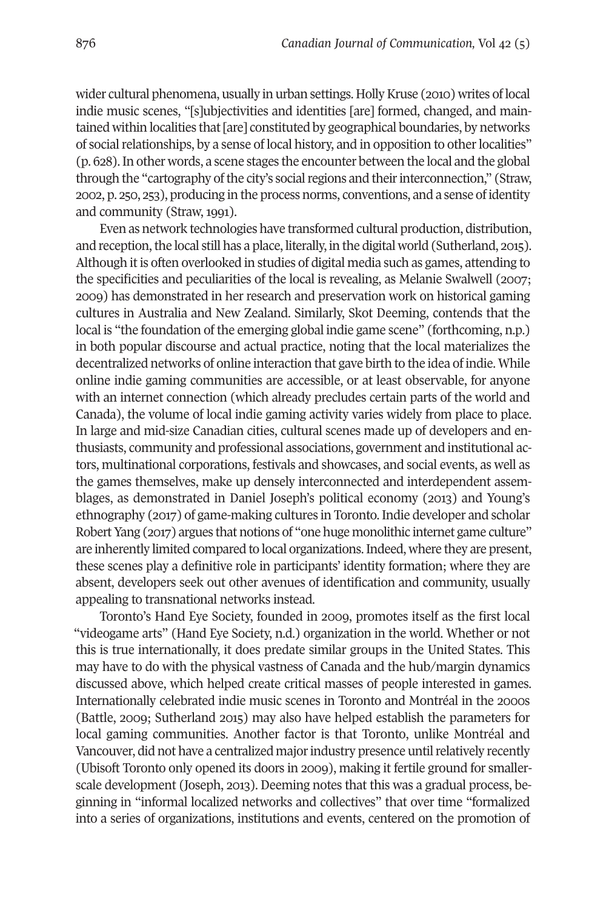wider cultural phenomena, usually in urban settings. Holly Kruse (2010) writes of local indie music scenes, "[s]ubjectivities and identities [are] formed, changed, and maintained within localities that[are] constituted by geographical boundaries, by networks of social relationships, by a sense of local history, and in opposition to other localities" (p. 628).In other words, a scene stages the encounter between the local and the global through the "cartography of the city's social regions and their interconnection," (Straw, 2002, p. 250, 253), producing in the process norms, conventions, and a sense of identity and community (Straw, 1991).

Even as network technologies have transformed cultural production, distribution, and reception, the local still has a place, literally, in the digital world (Sutherland, 2015). Although it is often overlooked in studies of digital media such as games, attending to the specificities and peculiarities of the local is revealing, as Melanie Swalwell (2007; 2009) has demonstrated in her research and preservation work on historical gaming cultures in Australia and New Zealand. Similarly, Skot Deeming, contends that the local is "the foundation of the emerging global indie game scene" (forthcoming, n.p.) in both popular discourse and actual practice, noting that the local materializes the decentralized networks of online interaction that gave birth to the idea of indie. While online indie gaming communities are accessible, or at least observable, for anyone with an internet connection (which already precludes certain parts of the world and Canada), the volume of local indie gaming activity varies widely from place to place. In large and mid-size Canadian cities, cultural scenes made up of developers and enthusiasts, community and professional associations, government and institutional actors, multinational corporations, festivals and showcases, and social events, as well as the games themselves, make up densely interconnected and interdependent assemblages, as demonstrated in Daniel Joseph's political economy (2013) and Young's ethnography (2017) of game-making cultures in Toronto. Indie developer and scholar Robert Yang (2017) argues that notions of "one huge monolithic internet game culture" are inherently limited compared to local organizations.Indeed, where they are present, these scenes play a definitive role in participants' identity formation; where they are absent, developers seek out other avenues of identification and community, usually appealing to transnational networks instead.

Toronto's Hand Eye Society, founded in 2009, promotes itself as the first local "videogame arts" (Hand Eye Society, n.d.) organization in the world. Whether or not this is true internationally, it does predate similar groups in the United States. This may have to do with the physical vastness of Canada and the hub/margin dynamics discussed above, which helped create critical masses of people interested in games. Internationally celebrated indie music scenes in Toronto and Montréal in the 2000s (Battle, 2009; Sutherland 2015) may also have helped establish the parameters for local gaming communities. Another factor is that Toronto, unlike Montréal and Vancouver, did not have a centralized major industry presence until relatively recently (Ubisoft Toronto only opened its doors in 2009), making it fertile ground for smallerscale development (Joseph, 2013). Deeming notes that this was a gradual process, beginning in "informal localized networks and collectives" that over time "formalized into a series of organizations, institutions and events, centered on the promotion of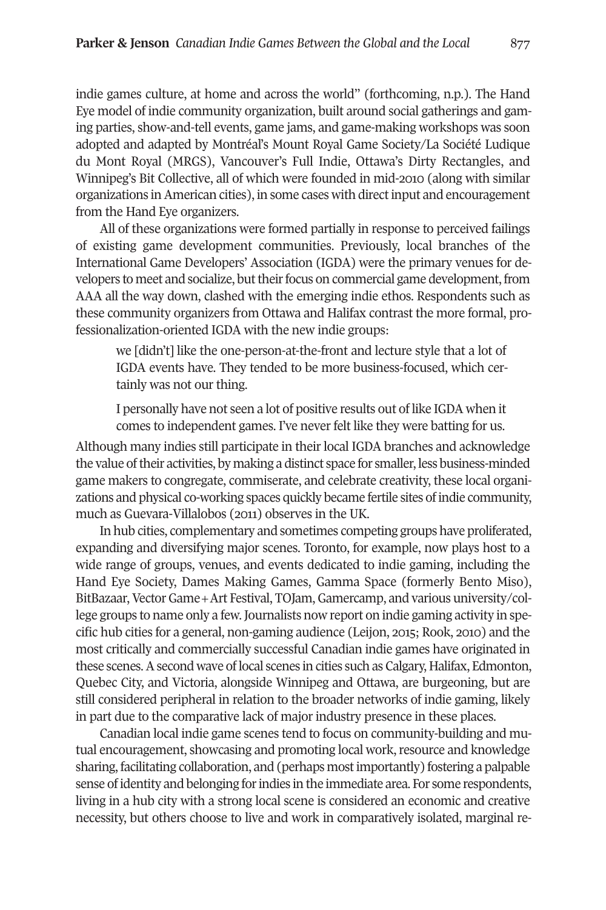indie games culture, at home and across the world" (forthcoming, n.p.). The Hand Eye model of indie community organization, built around social gatherings and gaming parties, show-and-tell events, game jams, and game-making workshops was soon adopted and adapted by Montréal's Mount Royal Game Society/La Société Ludique du Mont Royal (MRGS), Vancouver's Full Indie, Ottawa's Dirty Rectangles, and Winnipeg's Bit Collective, all of which were founded in mid-2010 (along with similar organizations in American cities), in some cases with direct input and encouragement from the Hand Eye organizers.

All of these organizations were formed partially in response to perceived failings of existing game development communities. Previously, local branches of the International Game Developers' Association (IGDA) were the primary venues for developers to meet and socialize, but their focus on commercial game development, from AAA all the way down, clashed with the emerging indie ethos. Respondents such as these community organizers from Ottawa and Halifax contrast the more formal, professionalization-oriented IGDA with the new indie groups:

we [didn't] like the one-person-at-the-front and lecture style that a lot of IGDA events have. They tended to be more business-focused, which certainly was not our thing.

I personally have not seen a lot of positive results out of like IGDA when it comes to independent games. I've never felt like they were batting for us.

Although many indies still participate in their local IGDA branches and acknowledge the value oftheir activities, by making a distinct space for smaller, less business-minded game makers to congregate, commiserate, and celebrate creativity, these local organizations and physical co-working spaces quickly became fertile sites of indie community, much as Guevara-Villalobos (2011) observes in the UK.

In hub cities, complementary and sometimes competing groups have proliferated, expanding and diversifying major scenes. Toronto, for example, now plays host to a wide range of groups, venues, and events dedicated to indie gaming, including the Hand Eye Society, Dames Making Games, Gamma Space (formerly Bento Miso), BitBazaar, Vector Game + Art Festival, TOJam, Gamercamp, and various university/college groups to name only a few.Journalists now report on indie gaming activity in specific hub cities for a general, non-gaming audience (Leijon, 2015; Rook, 2010) and the most critically and commercially successful Canadian indie games have originated in these scenes.Asecond wave oflocal scenes in cities such as Calgary, Halifax, Edmonton, Quebec City, and Victoria, alongside Winnipeg and Ottawa, are burgeoning, but are still considered peripheral in relation to the broader networks of indie gaming, likely in part due to the comparative lack of major industry presence in these places.

Canadian local indie game scenes tend to focus on community-building and mutual encouragement, showcasing and promoting local work, resource and knowledge sharing, facilitating collaboration, and (perhaps mostimportantly) fostering a palpable sense ofidentity and belonging forindies in the immediate area. For some respondents, living in a hub city with a strong local scene is considered an economic and creative necessity, but others choose to live and work in comparatively isolated, marginal re-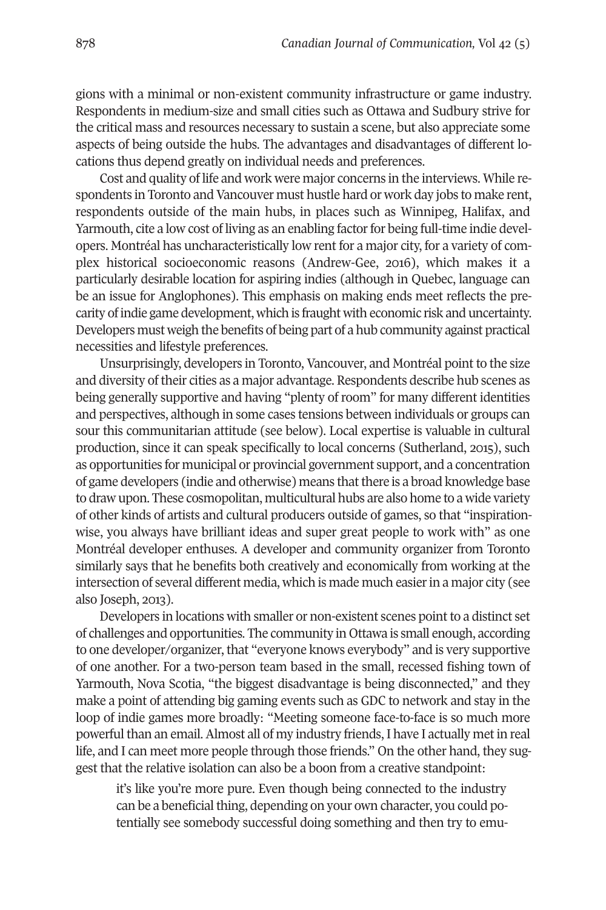gions with a minimal or non-existent community infrastructure or game industry. Respondents in medium-size and small cities such as Ottawa and Sudbury strive for the critical mass and resources necessary to sustain a scene, but also appreciate some aspects of being outside the hubs. The advantages and disadvantages of different locations thus depend greatly on individual needs and preferences.

Cost and quality of life and work were major concerns in the interviews. While respondents in Toronto and Vancouver must hustle hard or work day jobs to make rent, respondents outside of the main hubs, in places such as Winnipeg, Halifax, and Yarmouth, cite a low cost of living as an enabling factor for being full-time indie developers. Montréal has uncharacteristically low rent for a major city, for a variety of complex historical socioeconomic reasons (Andrew-Gee, 2016), which makes it a particularly desirable location for aspiring indies (although in Quebec, language can be an issue for Anglophones). This emphasis on making ends meet reflects the precarity ofindie game development, which is fraught with economic risk and uncertainty. Developers must weigh the benefits of being part of a hub community against practical necessities and lifestyle preferences.

Unsurprisingly, developers in Toronto, Vancouver, and Montréal point to the size and diversity of their cities as a major advantage. Respondents describe hub scenes as being generally supportive and having "plenty of room" for many different identities and perspectives, although in some cases tensions between individuals or groups can sour this communitarian attitude (see below). Local expertise is valuable in cultural production, since it can speak specifically to local concerns (Sutherland, 2015), such as opportunities for municipal or provincial government support, and a concentration of game developers (indie and otherwise) means that there is a broad knowledge base to draw upon. These cosmopolitan, multicultural hubs are also home to a wide variety of other kinds of artists and cultural producers outside of games, so that "inspirationwise, you always have brilliant ideas and super great people to work with" as one Montréal developer enthuses. A developer and community organizer from Toronto similarly says that he benefits both creatively and economically from working at the intersection of several different media, which is made much easierin a major city (see also Joseph, 2013).

Developers in locations with smaller or non-existent scenes point to a distinct set of challenges and opportunities. The community in Ottawa is small enough, according to one developer/organizer, that "everyone knows everybody" and is very supportive of one another. For a two-person team based in the small, recessed fishing town of Yarmouth, Nova Scotia, "the biggest disadvantage is being disconnected," and they make a point of attending big gaming events such as GDC to network and stay in the loop of indie games more broadly: "Meeting someone face-to-face is so much more powerful than an email. Almost all of my industry friends, I have I actually met in real life, and I can meet more people through those friends." On the other hand, they suggest that the relative isolation can also be a boon from a creative standpoint:

it's like you're more pure. Even though being connected to the industry can be a beneficial thing, depending on your own character, you could potentially see somebody successful doing something and then try to emu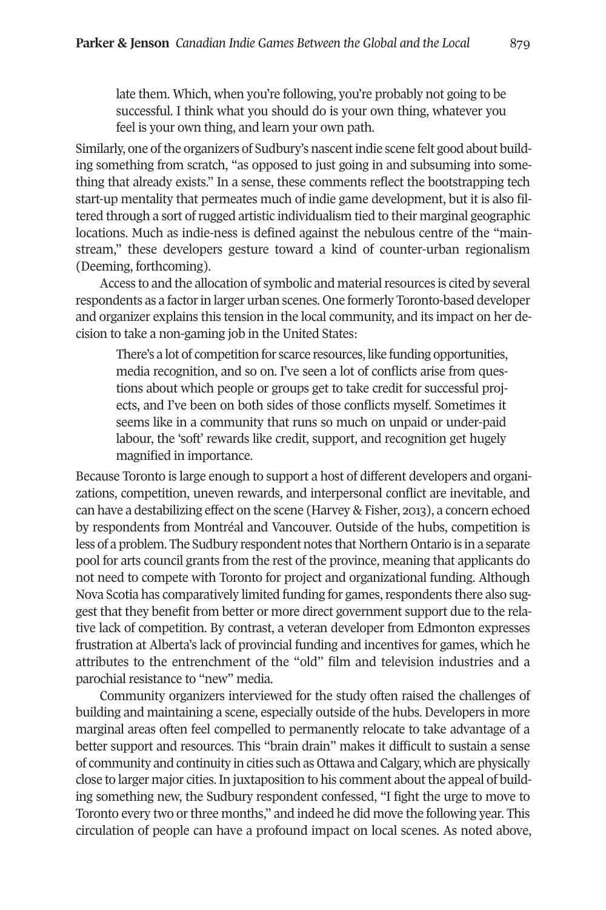late them. Which, when you're following, you're probably not going to be successful. I think what you should do is your own thing, whatever you feel is your own thing, and learn your own path.

Similarly, one of the organizers of Sudbury's nascent indie scene felt good about building something from scratch, "as opposed to just going in and subsuming into something that already exists." In a sense, these comments reflect the bootstrapping tech start-up mentality that permeates much of indie game development, but it is also filtered through a sort ofrugged artistic individualism tied to their marginal geographic locations. Much as indie-ness is defined against the nebulous centre of the "mainstream," these developers gesture toward a kind of counter-urban regionalism (Deeming, forthcoming).

Access to and the allocation of symbolic and material resources is cited by several respondents as a factorin larger urban scenes. One formerly Toronto-based developer and organizer explains this tension in the local community, and its impact on her decision to take a non-gaming job in the United States:

There's a lot of competition for scarce resources, like funding opportunities, media recognition, and so on. I've seen a lot of conflicts arise from questions about which people or groups get to take credit for successful projects, and I've been on both sides of those conflicts myself. Sometimes it seems like in a community that runs so much on unpaid or under-paid labour, the 'soft' rewards like credit, support, and recognition get hugely magnified in importance.

Because Toronto is large enough to support a host of different developers and organizations, competition, uneven rewards, and interpersonal conflict are inevitable, and can have a destabilizing effect on the scene (Harvey & Fisher, 2013), a concern echoed by respondents from Montréal and Vancouver. Outside of the hubs, competition is less of a problem. The Sudbury respondent notes that Northern Ontario is in a separate pool for arts council grants from the rest of the province, meaning that applicants do not need to compete with Toronto for project and organizational funding. Although Nova Scotia has comparatively limited funding for games, respondents there also suggest that they benefit from better or more direct government support due to the relative lack of competition. By contrast, a veteran developer from Edmonton expresses frustration at Alberta's lack of provincial funding and incentives for games, which he attributes to the entrenchment of the "old" film and television industries and a parochial resistance to "new" media.

Community organizers interviewed for the study often raised the challenges of building and maintaining a scene, especially outside of the hubs. Developers in more marginal areas often feel compelled to permanently relocate to take advantage of a better support and resources. This "brain drain" makes it difficult to sustain a sense of community and continuity in cities such as Ottawa and Calgary, which are physically close to larger major cities. In juxtaposition to his comment about the appeal of building something new, the Sudbury respondent confessed, "I fight the urge to move to Toronto every two or three months," and indeed he did move the following year. This circulation of people can have a profound impact on local scenes. As noted above,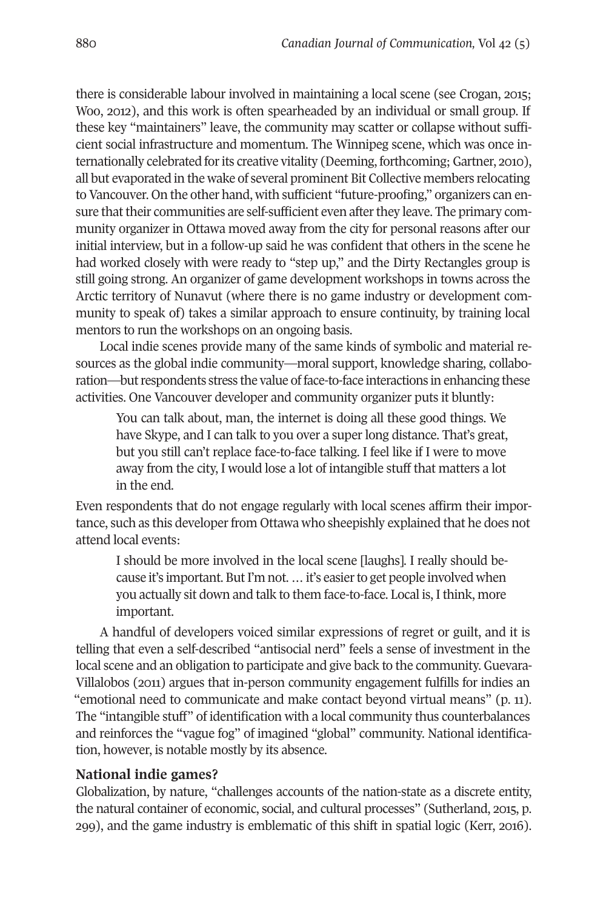there is considerable labour involved in maintaining a local scene (see Crogan, 2015; Woo, 2012), and this work is often spearheaded by an individual or small group. If these key "maintainers" leave, the community may scatter or collapse without sufficient social infrastructure and momentum. The Winnipeg scene, which was once internationally celebrated forits creative vitality (Deeming, forthcoming;Gartner, 2010), all but evaporated in the wake of several prominent Bit Collective members relocating to Vancouver. On the other hand, with sufficient "future-proofing," organizers can ensure that their communities are self-sufficient even after they leave. The primary community organizer in Ottawa moved away from the city for personal reasons after our initial interview, but in a follow-up said he was confident that others in the scene he had worked closely with were ready to "step up," and the Dirty Rectangles group is still going strong. An organizer of game development workshops in towns across the Arctic territory of Nunavut (where there is no game industry or development community to speak of) takes a similar approach to ensure continuity, by training local mentors to run the workshops on an ongoing basis.

Local indie scenes provide many of the same kinds of symbolic and material resources as the global indie community—moral support, knowledge sharing, collaboration—but respondents stress the value of face-to-face interactions in enhancing these activities. One Vancouver developer and community organizer puts it bluntly:

You can talk about, man, the internet is doing all these good things. We have Skype, and I can talk to you over a super long distance. That's great, but you still can't replace face-to-face talking. I feel like if I were to move away from the city, I would lose a lot of intangible stuff that matters a lot in the end.

Even respondents that do not engage regularly with local scenes affirm their importance, such as this developerfrom Ottawa who sheepishly explained that he does not attend local events:

I should be more involved in the local scene [laughs]. I really should because it's important. But I'm not. ... it's easier to get people involved when you actually sit down and talk to them face-to-face. Local is, I think, more important.

A handful of developers voiced similar expressions of regret or guilt, and it is telling that even a self-described "antisocial nerd" feels a sense of investment in the local scene and an obligation to participate and give back to the community. Guevara-Villalobos (2011) argues that in-person community engagement fulfills for indies an "emotional need to communicate and make contact beyond virtual means" (p. 11). The "intangible stuff" of identification with a local community thus counterbalances and reinforces the "vague fog" of imagined "global" community. National identification, however, is notable mostly by its absence.

# **National indie games?**

Globalization, by nature, "challenges accounts of the nation-state as a discrete entity, the natural container of economic, social, and cultural processes" (Sutherland, 2015, p. 299), and the game industry is emblematic of this shift in spatial logic (Kerr, 2016).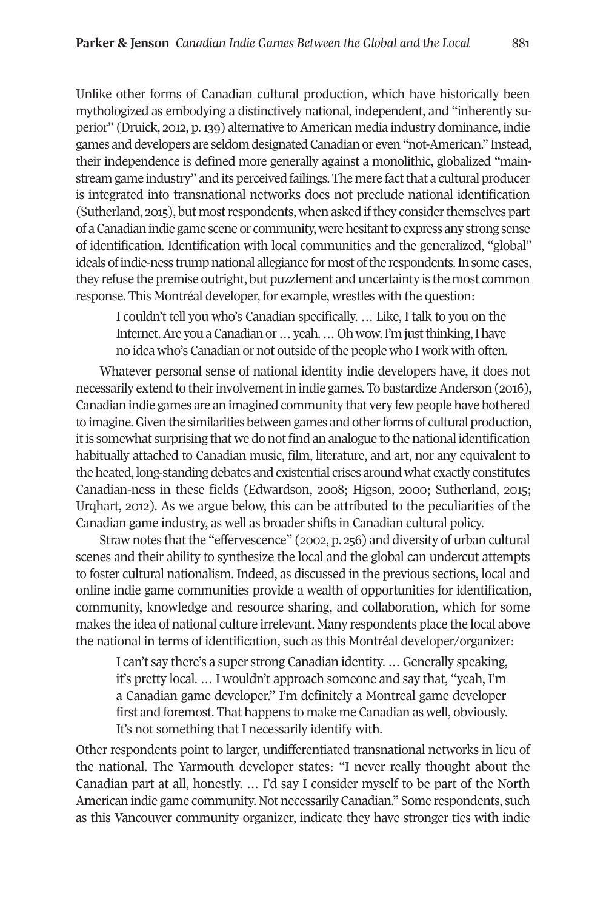Unlike other forms of Canadian cultural production, which have historically been mythologized as embodying a distinctively national, independent, and "inherently superior" (Druick, 2012, p. 139) alternative to American media industry dominance, indie games and developers are seldomdesignatedCanadianor even"not-American." Instead, their independence is defined more generally against a monolithic, globalized "mainstream game industry" and its perceived failings. The mere fact that a cultural producer is integrated into transnational networks does not preclude national identification (Sutherland, 2015), but most respondents, when asked if they consider themselves part of aCanadianindie game scene or community,werehesitantto express any strong sense of identification. Identification with local communities and the generalized, "global" ideals of indie-ness trump national allegiance for most of the respondents. In some cases, they refuse the premise outright, but puzzlement and uncertainty is the most common response. This Montréal developer, for example, wrestles with the question:

I couldn't tell you who's Canadian specifically. … Like, I talk to you on the Internet. Are you a Canadian or ... yeah. ... Oh wow. I'm just thinking, I have no idea who's Canadian or not outside of the people who I work with often.

Whatever personal sense of national identity indie developers have, it does not necessarily extend to their involvement in indie games. To bastardize Anderson (2016), Canadian indie games are an imagined community that very few people have bothered to imagine. Given the similarities between games and other forms of cultural production, itis somewhat surprising that we do not find an analogue to the national identification habitually attached to Canadian music, film, literature, and art, nor any equivalent to the heated, long-standing debates and existential crises around what exactly constitutes Canadian-ness in these fields (Edwardson, 2008; Higson, 2000; Sutherland, 2015; Urqhart, 2012). As we argue below, this can be attributed to the peculiarities of the Canadian game industry, as well as broader shifts in Canadian cultural policy.

Straw notes that the "effervescence" (2002, p. 256) and diversity of urban cultural scenes and their ability to synthesize the local and the global can undercut attempts to foster cultural nationalism. Indeed, as discussed in the previous sections, local and online indie game communities provide a wealth of opportunities for identification, community, knowledge and resource sharing, and collaboration, which for some makes the idea of national culture irrelevant. Many respondents place the local above the national in terms of identification, such as this Montréal developer/organizer:

I can't say there's a super strong Canadian identity. … Generally speaking, it's pretty local. … I wouldn't approach someone and say that, "yeah, I'm a Canadian game developer." I'm definitely a Montreal game developer first and foremost. That happens to make me Canadian as well, obviously. It's not something that I necessarily identify with.

Other respondents point to larger, undifferentiated transnational networks in lieu of the national. The Yarmouth developer states: "I never really thought about the Canadian part at all, honestly. … I'd say I consider myself to be part of the North American indie game community. Not necessarily Canadian." Some respondents, such as this Vancouver community organizer, indicate they have stronger ties with indie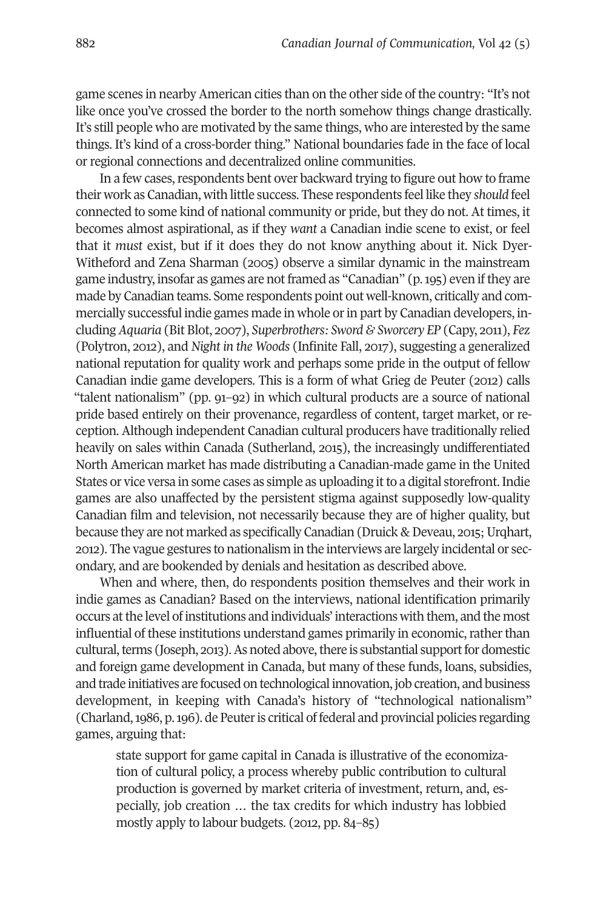game scenes in nearby American cities than on the other side of the country: "It's not like once you've crossed the border to the north somehow things change drastically. It's still people who are motivated by the same things, who are interested by the same things. It's kind of a cross-border thing." National boundaries fade in the face of local or regional connections and decentralized online communities.

In a few cases, respondents bent over backward trying to figure out how to frame their work as Canadian, with little success. These respondents feel like they *should* feel connected to some kind of national community or pride, but they do not. At times, it becomes almost aspirational, as if they *want* a Canadian indie scene to exist, or feel that it *must* exist, but if it does they do not know anything about it. Nick Dyer-Witheford and Zena Sharman (2005) observe a similar dynamic in the mainstream game industry, insofar as games are not framed as "Canadian" (p. 195) even if they are made by Canadian teams. Some respondents point out well-known, critically and commercially successful indie games made in whole orin part by Canadian developers, including *Aquaria* (Bit Blot, 2007), *Superbrothers: Sword & Sworcery EP* (Capy, 2011), *Fez* (Polytron, 2012), and *Night in the Woods* (Infinite Fall, 2017), suggesting a generalized national reputation for quality work and perhaps some pride in the output of fellow Canadian indie game developers. This is a form of what Grieg de Peuter (2012) calls "talent nationalism" (pp. 91–92) in which cultural products are a source of national pride based entirely on their provenance, regardless of content, target market, or reception. Although independent Canadian cultural producers have traditionally relied heavily on sales within Canada (Sutherland, 2015), the increasingly undifferentiated North American market has made distributing a Canadian-made game in the United States or vice versa in some cases as simple as uploading it to a digital storefront. Indie games are also unaffected by the persistent stigma against supposedly low-quality Canadian film and television, not necessarily because they are of higher quality, but because they are not marked as specifically Canadian (Druick & Deveau, 2015; Urghart, 2012). The vague gestures to nationalism in the interviews are largely incidental or secondary, and are bookended by denials and hesitation as described above.

When and where, then, do respondents position themselves and their work in indie games as Canadian? Based on the interviews, national identification primarily occurs atthe level of institutions and individuals' interactions with them, and the most influential of these institutions understand games primarily in economic,ratherthan cultural, terms (Joseph, 2013). As noted above, there is substantial support for domestic and foreign game development in Canada, but many of these funds, loans, subsidies, and trade initiatives are focused on technological innovation, job creation, and business development, in keeping with Canada's history of "technological nationalism" (Charland,1986, p.196). de Peuteris critical of federal and provincial policies regarding games, arguing that:

state support for game capital in Canada is illustrative of the economization of cultural policy, a process whereby public contribution to cultural production is governed by market criteria of investment, return, and, especially, job creation … the tax credits for which industry has lobbied mostly apply to labour budgets. (2012, pp. 84–85)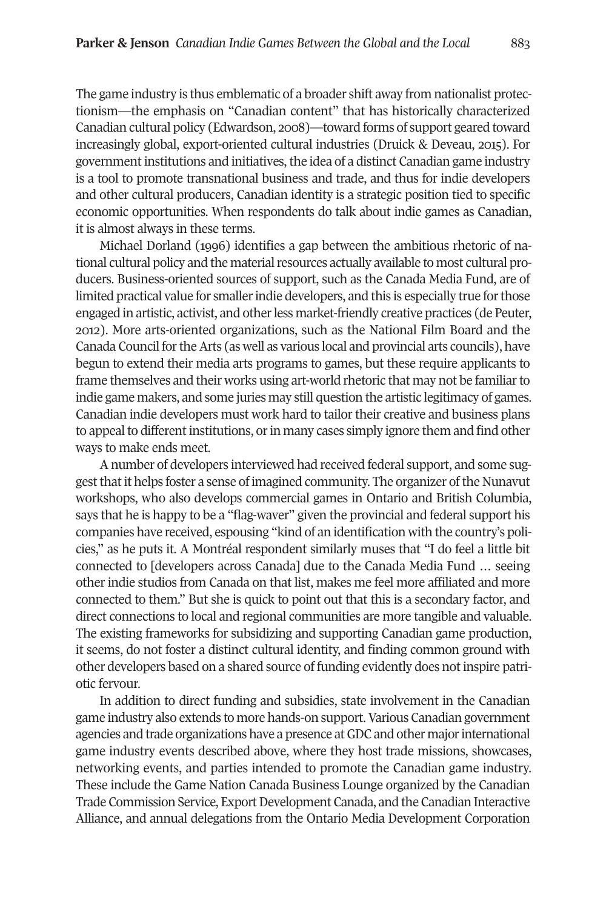The game industry is thus emblematic of a broader shift away from nationalist protectionism—the emphasis on "Canadian content" that has historically characterized Canadian cultural policy (Edwardson, 2008)—toward forms of support geared toward increasingly global, export-oriented cultural industries (Druick & Deveau, 2015). For government institutions and initiatives, the idea of a distinct Canadian game industry is a tool to promote transnational business and trade, and thus for indie developers and other cultural producers, Canadian identity is a strategic position tied to specific economic opportunities. When respondents do talk about indie games as Canadian, it is almost always in these terms.

Michael Dorland (1996) identifies a gap between the ambitious rhetoric of national cultural policy and the material resources actually available to most cultural producers. Business-oriented sources of support, such as the Canada Media Fund, are of limited practical value for smaller indie developers, and this is especially true for those engaged in artistic, activist, and otherless market-friendly creative practices (de Peuter, 2012). More arts-oriented organizations, such as the National Film Board and the Canada Council fortheArts (as well as various local and provincial arts councils), have begun to extend their media arts programs to games, but these require applicants to frame themselves and their works using art-world rhetoric that may not be familiarto indie game makers, and some juries may still question the artistic legitimacy of games. Canadian indie developers must work hard to tailor their creative and business plans to appeal to different institutions, or in many cases simply ignore them and find other ways to make ends meet.

A number of developers interviewed had received federal support, and some suggest that it helps foster a sense of imagined community. The organizer of the Nunavut workshops, who also develops commercial games in Ontario and British Columbia, says that he is happy to be a "flag-waver" given the provincial and federal support his companies have received, espousing "kind of an identification with the country's policies," as he puts it. A Montréal respondent similarly muses that "I do feel a little bit connected to [developers across Canada] due to the Canada Media Fund … seeing other indie studios from Canada on that list, makes me feel more affiliated and more connected to them." But she is quick to point out that this is a secondary factor, and direct connections to local and regional communities are more tangible and valuable. The existing frameworks for subsidizing and supporting Canadian game production, it seems, do not foster a distinct cultural identity, and finding common ground with other developers based on a shared source of funding evidently does not inspire patriotic fervour.

In addition to direct funding and subsidies, state involvement in the Canadian game industry also extends to more hands-on support.Various Canadian government agencies and trade organizations have a presence atGDC and other majorinternational game industry events described above, where they host trade missions, showcases, networking events, and parties intended to promote the Canadian game industry. These include the Game Nation Canada Business Lounge organized by the Canadian Trade Commission Service, ExportDevelopment Canada, and the Canadian Interactive Alliance, and annual delegations from the Ontario Media Development Corporation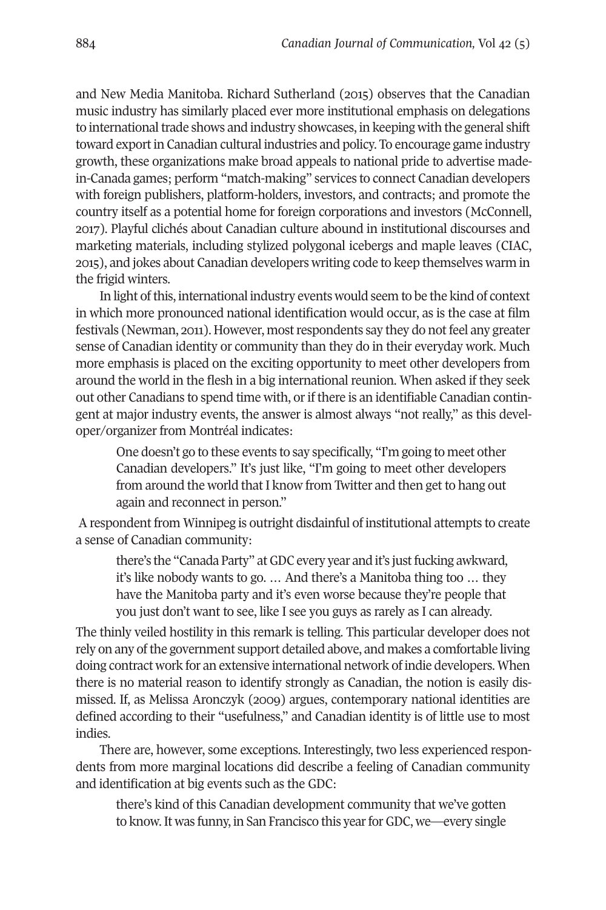and New Media Manitoba. Richard Sutherland (2015) observes that the Canadian music industry has similarly placed ever more institutional emphasis on delegations to international trade shows and industry showcases, in keeping with the general shift toward exportin Canadian cultural industries and policy. To encourage game industry growth, these organizations make broad appeals to national pride to advertise madein-Canada games; perform "match-making" services to connect Canadian developers with foreign publishers, platform-holders, investors, and contracts; and promote the country itself as a potential home for foreign corporations and investors (McConnell, 2017). Playful clichés about Canadian culture abound in institutional discourses and marketing materials, including stylized polygonal icebergs and maple leaves (CIAC, 2015), and jokes about Canadian developers writing code to keep themselves warm in the frigid winters.

In light of this, international industry events would seem to be the kind of context in which more pronounced national identification would occur, as is the case at film festivals (Newman, 2011). However, most respondents say they do not feel any greater sense of Canadian identity or community than they do in their everyday work. Much more emphasis is placed on the exciting opportunity to meet other developers from around the world in the flesh in a big international reunion. When asked if they seek out other Canadians to spend time with, orif there is an identifiable Canadian contingent at major industry events, the answer is almost always "not really," as this developer/organizer from Montréal indicates:

One doesn't go to these events to say specifically, "I'm going to meet other Canadian developers." It's just like, "I'm going to meet other developers from around the world that I know from Twitter and then get to hang out again and reconnect in person."

A respondent from Winnipeg is outright disdainful of institutional attempts to create a sense of Canadian community:

there's the "Canada Party" at GDC every year and it's just fucking awkward, it's like nobody wants to go. … And there's a Manitoba thing too … they have the Manitoba party and it's even worse because they're people that you just don't want to see, like I see you guys as rarely as I can already.

The thinly veiled hostility in this remark is telling. This particular developer does not rely on any ofthe government support detailed above, and makes a comfortable living doing contract work for an extensive international network of indie developers. When there is no material reason to identify strongly as Canadian, the notion is easily dismissed. If, as Melissa Aronczyk (2009) argues, contemporary national identities are defined according to their "usefulness," and Canadian identity is of little use to most indies.

There are, however, some exceptions. Interestingly, two less experienced respondents from more marginal locations did describe a feeling of Canadian community and identification at big events such as the GDC:

there's kind of this Canadian development community that we've gotten to know. It was funny, in San Francisco this year for GDC, we—every single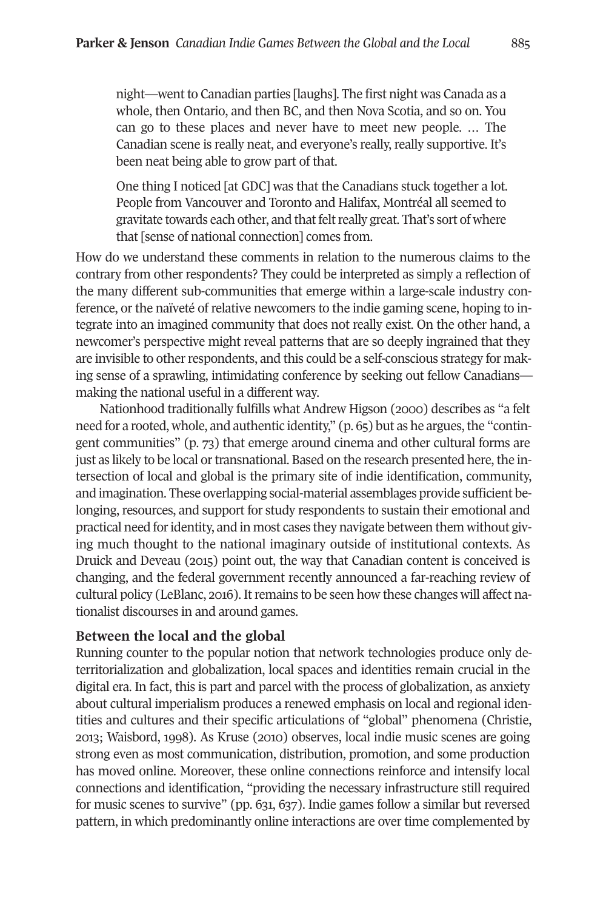night—went to Canadian parties [laughs]. The first night was Canada as a whole, then Ontario, and then BC, and then Nova Scotia, and so on. You can go to these places and never have to meet new people. … The Canadian scene is really neat, and everyone's really, really supportive. It's been neat being able to grow part of that.

One thing I noticed [at GDC] was that the Canadians stuck together a lot. People from Vancouver and Toronto and Halifax, Montréal all seemed to gravitate towards each other, and that felt really great. That's sort of where that [sense of national connection] comes from.

How do we understand these comments in relation to the numerous claims to the contrary from other respondents? They could be interpreted as simply a reflection of the many different sub-communities that emerge within a large-scale industry conference, or the naïveté of relative newcomers to the indie gaming scene, hoping to integrate into an imagined community that does not really exist. On the other hand, a newcomer's perspective might reveal patterns that are so deeply ingrained that they are invisible to other respondents, and this could be a self-conscious strategy for making sense of a sprawling, intimidating conference by seeking out fellow Canadians making the national useful in a different way.

Nationhood traditionally fulfills what Andrew Higson (2000) describes as "a felt need for a rooted, whole, and authentic identity,"  $(p, 65)$  but as he argues, the "contingent communities" (p. 73) that emerge around cinema and other cultural forms are just as likely to be local or transnational. Based on the research presented here, the intersection of local and global is the primary site of indie identification, community, and imagination. These overlapping social-material assemblages provide sufficient belonging, resources, and support for study respondents to sustain their emotional and practical need foridentity, and in most cases they navigate between them without giving much thought to the national imaginary outside of institutional contexts. As Druick and Deveau (2015) point out, the way that Canadian content is conceived is changing, and the federal government recently announced a far-reaching review of cultural policy (LeBlanc, 2016). Itremains to be seen how these changes will affect nationalist discourses in and around games.

# **Between the local and the global**

Running counter to the popular notion that network technologies produce only deterritorialization and globalization, local spaces and identities remain crucial in the digital era. In fact, this is part and parcel with the process of globalization, as anxiety about cultural imperialism produces a renewed emphasis on local and regional identities and cultures and their specific articulations of "global" phenomena (Christie, 2013; Waisbord, 1998). As Kruse (2010) observes, local indie music scenes are going strong even as most communication, distribution, promotion, and some production has moved online. Moreover, these online connections reinforce and intensify local connections and identification, "providing the necessary infrastructure still required for music scenes to survive" (pp. 631, 637). Indie games follow a similar but reversed pattern, in which predominantly online interactions are over time complemented by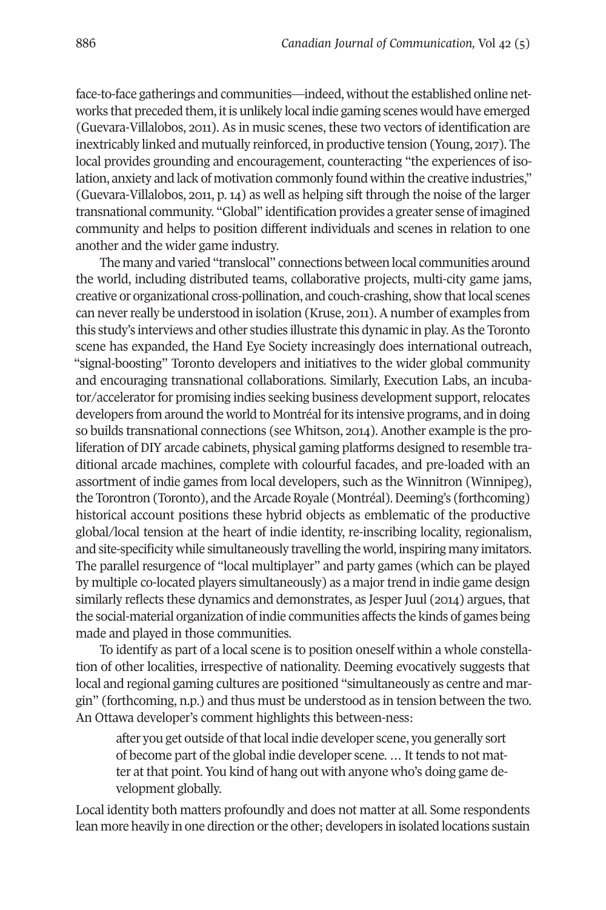face-to-face gatherings and communities—indeed, without the established online networks that preceded them, it is unlikely local indie gaming scenes would have emerged (Guevara-Villalobos, 2011). As in music scenes, these two vectors of identification are inextricably linked and mutually reinforced, in productive tension (Young, 2017). The local provides grounding and encouragement, counteracting "the experiences of isolation, anxiety and lack of motivation commonly found within the creative industries," (Guevara-Villalobos, 2011, p. 14) as well as helping sift through the noise of the larger transnational community. "Global" identification provides a greater sense of imagined community and helps to position different individuals and scenes in relation to one another and the wider game industry.

The many and varied "translocal" connections between local communities around the world, including distributed teams, collaborative projects, multi-city game jams, creative or organizational cross-pollination, and couch-crashing, show thatlocal scenes can neverreally be understood in isolation (Kruse, 2011).Anumber of examples from this study's interviews and other studies illustrate this dynamic in play.As the Toronto scene has expanded, the Hand Eye Society increasingly does international outreach, "signal-boosting" Toronto developers and initiatives to the wider global community and encouraging transnational collaborations. Similarly, Execution Labs, an incubator/accelerator for promising indies seeking business development support, relocates developers from around the world to Montréal forits intensive programs, and in doing so builds transnational connections (see Whitson, 2014). Another example is the proliferation of DIY arcade cabinets, physical gaming platforms designed to resemble traditional arcade machines, complete with colourful facades, and pre-loaded with an assortment of indie games from local developers, such as the Winnitron (Winnipeg), the Torontron (Toronto), and the Arcade Royale (Montréal). Deeming's (forthcoming) historical account positions these hybrid objects as emblematic of the productive global/local tension at the heart of indie identity, re-inscribing locality, regionalism, and site-specificity while simultaneously travelling the world, inspiring many imitators. The parallel resurgence of "local multiplayer" and party games (which can be played by multiple co-located players simultaneously) as a majortrend in indie game design similarly reflects these dynamics and demonstrates, as Jesper Juul (2014) argues, that the social-material organization of indie communities affects the kinds of games being made and played in those communities.

To identify as part of a local scene is to position oneself within a whole constellation of other localities, irrespective of nationality. Deeming evocatively suggests that local and regional gaming cultures are positioned "simultaneously as centre and margin" (forthcoming, n.p.) and thus must be understood as in tension between the two. An Ottawa developer's comment highlights this between-ness:

after you get outside of that local indie developer scene, you generally sort of become part of the global indie developer scene. … It tends to not matter at that point. You kind of hang out with anyone who's doing game development globally.

Local identity both matters profoundly and does not matter at all. Some respondents lean more heavily in one direction or the other; developers in isolated locations sustain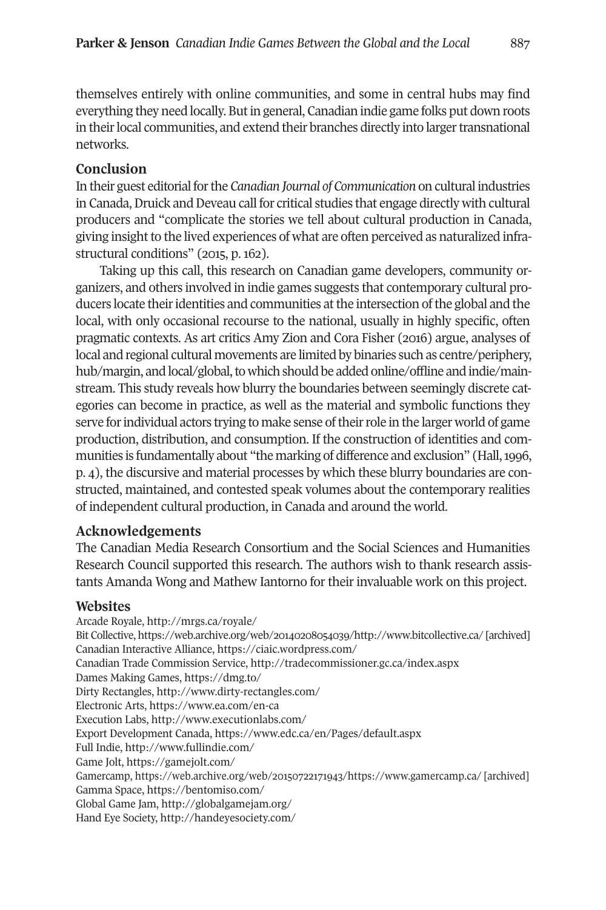themselves entirely with online communities, and some in central hubs may find everything they need locally. Butin general, Canadian indie game folks put down roots in their local communities, and extend their branches directly into larger transnational networks.

# **Conclusion**

In their guest editorialforthe *Canadian Journal of Communication* on cultural industries in Canada, Druick and Deveau call for critical studies that engage directly with cultural producers and "complicate the stories we tell about cultural production in Canada, giving insight to the lived experiences of what are often perceived as naturalized infrastructural conditions" (2015, p. 162).

Taking up this call, this research on Canadian game developers, community organizers, and others involved in indie games suggests that contemporary cultural producers locate theiridentities and communities atthe intersection ofthe global and the local, with only occasional recourse to the national, usually in highly specific, often pragmatic contexts. As art critics Amy Zion and Cora Fisher (2016) argue, analyses of local and regional cultural movements are limited by binaries such as centre/periphery, hub/margin, and local/global, to which should be added online/offline and indie/mainstream. This study reveals how blurry the boundaries between seemingly discrete categories can become in practice, as well as the material and symbolic functions they serve forindividual actors trying to make sense oftheirrole in the larger world of game production, distribution, and consumption. If the construction of identities and communities is fundamentally about "the marking of difference and exclusion" (Hall,1996, p. 4), the discursive and material processes by which these blurry boundaries are constructed, maintained, and contested speak volumes about the contemporary realities of independent cultural production, in Canada and around the world.

## **Acknowledgements**

The Canadian Media Research Consortium and the Social Sciences and Humanities Research Council supported this research. The authors wish to thank research assistants Amanda Wong and Mathew Iantorno for their invaluable work on this project.

## **Websites**

Arcade Royale, <http://mrgs.ca/royale/> Bit Collective, <https://web.archive.org/web/20140208054039/http://www.bitcollective.ca/> [archived] Canadian Interactive Alliance, <https://ciaic.wordpress.com/> Canadian Trade Commission Service, <http://tradecommissioner.gc.ca/index.aspx> Dames Making Games, <https://dmg.to/> Dirty Rectangles, <http://www.dirty-rectangles.com/> Electronic Arts, <https://www.ea.com/en-ca> Execution Labs, <http://www.executionlabs.com/> Export Development Canada, <https://www.edc.ca/en/Pages/default.aspx> Full Indie, <http://www.fullindie.com/> Game Jolt, <https://gamejolt.com/> Gamercamp, <https://web.archive.org/web/20150722171943/https://www.gamercamp.ca/> [archived] Gamma Space, <https://bentomiso.com/> Global Game Jam, <http://globalgamejam.org/> Hand Eye Society, <http://handeyesociety.com/>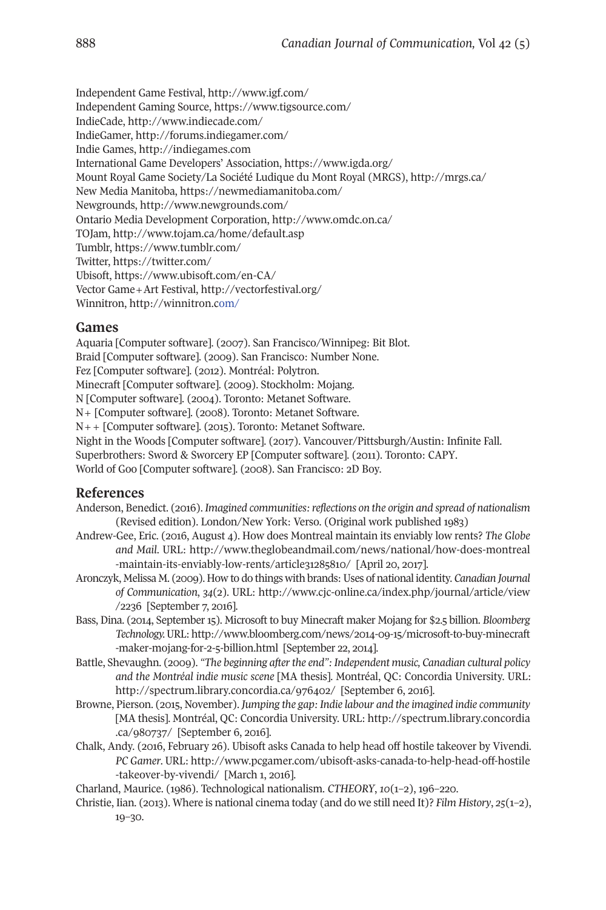Independent Game Festival, <http://www.igf.com/> Independent Gaming Source, <https://www.tigsource.com/> IndieCade, <http://www.indiecade.com/> IndieGamer, <http://forums.indiegamer.com/> Indie Games, <http://indiegames.com> International Game Developers' Association, <https://www.igda.org/> Mount Royal Game Society/La Société Ludique du Mont Royal (MRGS), <http://mrgs.ca/> New Media Manitoba, <https://newmediamanitoba.com/> Newgrounds, <http://www.newgrounds.com/> Ontario Media Development Corporation, <http://www.omdc.on.ca/> TOJam, <http://www.tojam.ca/home/default.asp> Tumblr, <https://www.tumblr.com/> Twitter, <https://twitter.com/> Ubisoft, <https://www.ubisoft.com/en-CA/> Vector Game+Art Festival, <http://vectorfestival.org/> Winnitron, <http://winnitron.com/>

## **Games**

Aquaria [Computer software]. (2007). San Francisco/Winnipeg: Bit Blot. Braid [Computer software]. (2009). San Francisco: Number None. Fez [Computer software]. (2012). Montréal: Polytron. Minecraft [Computer software]. (2009). Stockholm: Mojang. N [Computer software]. (2004). Toronto: Metanet Software. N+ [Computer software]. (2008). Toronto: Metanet Software. N++ [Computer software]. (2015). Toronto: Metanet Software. Night in the Woods [Computer software]. (2017). Vancouver/Pittsburgh/Austin: Infinite Fall. Superbrothers: Sword & Sworcery EP [Computer software]. (2011). Toronto: CAPY. World of Goo [Computer software]. (2008). San Francisco: 2D Boy.

#### **References**

- Anderson, Benedict. (2016). *Imagined communities:reflections on the origin and spread of nationalism* (Revised edition). London/New York: Verso. (Original work published 1983)
- Andrew-Gee, Eric. (2016, August 4). How does Montreal maintain its enviably low rents? *The Globe and Mail*. URL: [http://www.theglobeandmail.com/news/national/how-does-montreal](http://www.theglobeandmail.com/news/national/how-does-montreal-maintain-its-enviably-low-rents/article31285810/) [-maintain-its-enviably-low-rents/article31285810/](http://www.theglobeandmail.com/news/national/how-does-montreal-maintain-its-enviably-low-rents/article31285810/) [April 20, 2017].
- Aronczyk, Melissa M. (2009). How to do things with brands:Uses of national identity. *Canadian Journal of Communication*, *34*(2). URL: [http://www.cjc-online.ca/index.php/journal/article/view](http://www.cjc-online.ca/index.php/journal/article/view/2236) [/2236](http://www.cjc-online.ca/index.php/journal/article/view/2236) [September 7, 2016].
- Bass, Dina. (2014, September 15). Microsoft to buy Minecraft maker Mojang for \$2.5 billion. *Bloomberg Technology.*URL: [http://www.bloomberg.com/news/2014-09-15/microsoft-to-buy-minecraft](http://www.bloomberg.com/news/2014-09-15/microsoft-to-buy-minecraft-maker-mojang-for-2-5-billion.html) [-maker-mojang-for-2-5-billion.html](http://www.bloomberg.com/news/2014-09-15/microsoft-to-buy-minecraft-maker-mojang-for-2-5-billion.html) [September 22, 2014].
- Battle, Shevaughn. (2009). *"The beginning afterthe end": Independent music, Canadian cultural policy and the Montréal indie music scene* [MA thesis]. Montréal, QC: Concordia University. URL: <http://spectrum.library.concordia.ca/976402/> [September 6, 2016].
- Browne, Pierson. (2015, November). *Jumping the gap: Indie labour and the imagined indie community* [MA thesis]. Montréal, QC: Concordia University. URL: [http://spectrum.library.concordia](http://spectrum.library.concordia.ca/980737/) [.ca/980737/](http://spectrum.library.concordia.ca/980737/) [September 6, 2016].
- Chalk, Andy. (2016, February 26). Ubisoft asks Canada to help head off hostile takeover by Vivendi. *PC Gamer*. URL: [http://www.pcgamer.com/ubisoft-asks-canada-to-help-head-off-hostile](http://www.pcgamer.com/ubisoft-asks-canada-to-help-head-off-hostile-takeover-by-vivendi/) [-takeover-by-vivendi/](http://www.pcgamer.com/ubisoft-asks-canada-to-help-head-off-hostile-takeover-by-vivendi/) [March 1, 2016].
- Charland, Maurice. (1986). Technological nationalism. *CTHEORY*, *10*(1–2), 196–220.
- Christie, Iian. (2013). Where is national cinema today (and do we still need It)? *Film History*, *25*(1–2), 19–30.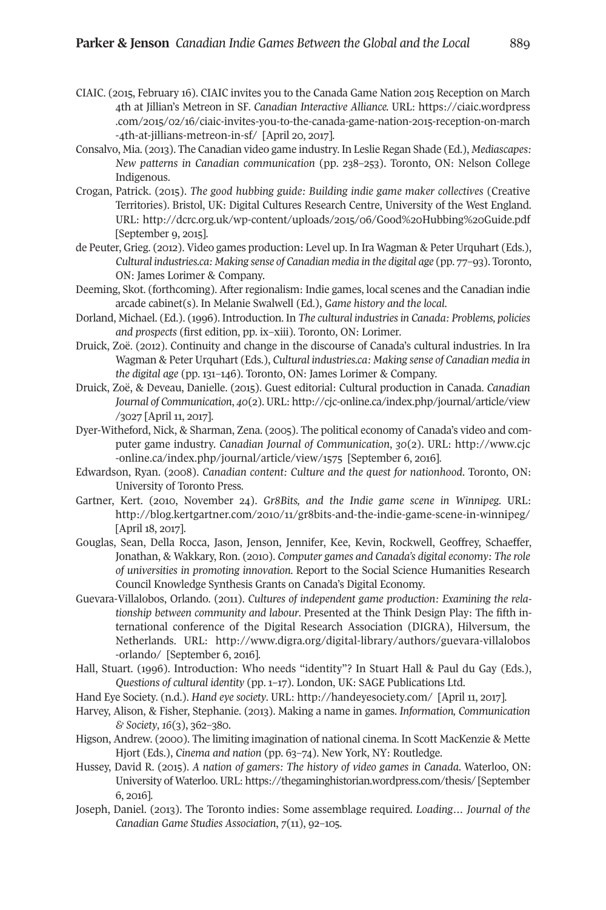- CIAIC. (2015, February 16). CIAIC invites you to the Canada Game Nation 2015 Reception on March 4th at Jillian's Metreon in SF. *Canadian Interactive Alliance.* URL: [https://ciaic.wordpress](https://ciaic.wordpress.com/2015/02/16/ciaic-invites-you-to-the-canada-game-nation-2015-reception-on-march-4th-at-jillians-metreon-in-sf/) [.com/2015/02/16/ciaic-invites-you-to-the-canada-game-nation-2015-reception-on-march](https://ciaic.wordpress.com/2015/02/16/ciaic-invites-you-to-the-canada-game-nation-2015-reception-on-march-4th-at-jillians-metreon-in-sf/) [-4th-at-jillians-metreon-in-sf/](https://ciaic.wordpress.com/2015/02/16/ciaic-invites-you-to-the-canada-game-nation-2015-reception-on-march-4th-at-jillians-metreon-in-sf/) [April 20, 2017].
- Consalvo, Mia. (2013). The Canadian video game industry. In Leslie Regan Shade (Ed.), *Mediascapes: New patterns in Canadian communication* (pp. 238–253). Toronto, ON: Nelson College Indigenous.
- Crogan, Patrick. (2015). *The good hubbing guide: Building indie game maker collectives* (Creative Territories). Bristol, UK: Digital Cultures Research Centre, University of the West England. URL: <http://dcrc.org.uk/wp-content/uploads/2015/06/Good%20Hubbing%20Guide.pdf> [September 9, 2015].
- de Peuter, Grieg. (2012). Video games production: Level up. In Ira Wagman & Peter Urquhart (Eds.), *Cultural industries.ca: Making sense of Canadian media in the digital age* (pp. 77–93). Toronto, ON: James Lorimer & Company.
- Deeming, Skot. (forthcoming). After regionalism: Indie games, local scenes and the Canadian indie arcade cabinet(s). In Melanie Swalwell (Ed.), *Game history and the local*.
- Dorland, Michael. (Ed.). (1996). Introduction. In *The cultural industriesin Canada: Problems, policies and prospects* (first edition, pp. ix–xiii). Toronto, ON: Lorimer.
- Druick, Zoë. (2012). Continuity and change in the discourse of Canada's cultural industries. In Ira Wagman & Peter Urquhart (Eds.), *Cultural industries.ca: Making sense of Canadian media in the digital age* (pp. 131–146). Toronto, ON: James Lorimer & Company.
- Druick, Zoë, & Deveau, Danielle. (2015). Guest editorial: Cultural production in Canada. *Canadian Journal of Communication*, *40*(2). URL: [http://cjc-online.ca/index.php/journal/article/view](http://cjc-online.ca/index.php/journal/article/view/3027) [/3027](http://cjc-online.ca/index.php/journal/article/view/3027) [April 11, 2017].
- Dyer-Witheford, Nick, & Sharman, Zena. (2005). The political economy of Canada's video and computer game industry. *Canadian Journal of Communication*, *30*(2). URL: [http://www.cjc](http://www.cjc-online.ca/index.php/journal/article/view/1575) [-online.ca/index.php/journal/article/view/1575](http://www.cjc-online.ca/index.php/journal/article/view/1575) [September 6, 2016].
- Edwardson, Ryan. (2008). *Canadian content: Culture and the quest for nationhood*. Toronto, ON: University of Toronto Press.
- Gartner, Kert. (2010, November 24). *Gr8Bits, and the Indie game scene in Winnipeg.* URL: <http://blog.kertgartner.com/2010/11/gr8bits-and-the-indie-game-scene-in-winnipeg/> [April 18, 2017].
- Gouglas, Sean, Della Rocca, Jason, Jenson, Jennifer, Kee, Kevin, Rockwell, Geoffrey, Schaeffer, Jonathan, & Wakkary, Ron. (2010). *Computer games and Canada's digital economy: The role of universities in promoting innovation.* Report to the Social Science Humanities Research Council Knowledge Synthesis Grants on Canada's Digital Economy.
- Guevara-Villalobos, Orlando. (2011). *Cultures of independent game production: Examining the relationship between community and labour*. Presented at the Think Design Play: The fifth international conference of the Digital Research Association (DIGRA), Hilversum, the Netherlands. URL: [http://www.digra.org/digital-library/authors/guevara-villalobos](http://www.digra.org/digital-library/authors/guevara-villalobos-orlando/) [-orlando/](http://www.digra.org/digital-library/authors/guevara-villalobos-orlando/) [September 6, 2016].
- Hall, Stuart. (1996). Introduction: Who needs "identity"? In Stuart Hall & Paul du Gay (Eds.), *Questions of cultural identity* (pp. 1–17). London, UK: SAGE Publications Ltd.
- Hand Eye Society. (n.d.). *Hand eye society*. URL: <http://handeyesociety.com/> [April 11, 2017].
- Harvey, Alison, & Fisher, Stephanie. (2013). Making a name in games. *Information, Communication & Society*, *16*(3), 362–380.
- Higson, Andrew. (2000). The limiting imagination of national cinema. In Scott MacKenzie & Mette Hjort (Eds.), *Cinema and nation* (pp. 63–74). New York, NY: Routledge.
- Hussey, David R. (2015). *A nation of gamers: The history of video games in Canada*. Waterloo, ON: University of Waterloo.URL: [https://thegaminghistorian.wordpress.com/thesis/](https://thegaminghistorian.wordpress.com/thesis/ ) [September 6, 2016].
- Joseph, Daniel. (2013). The Toronto indies: Some assemblage required. *Loading… Journal of the Canadian Game Studies Association*, *7*(11), 92–105.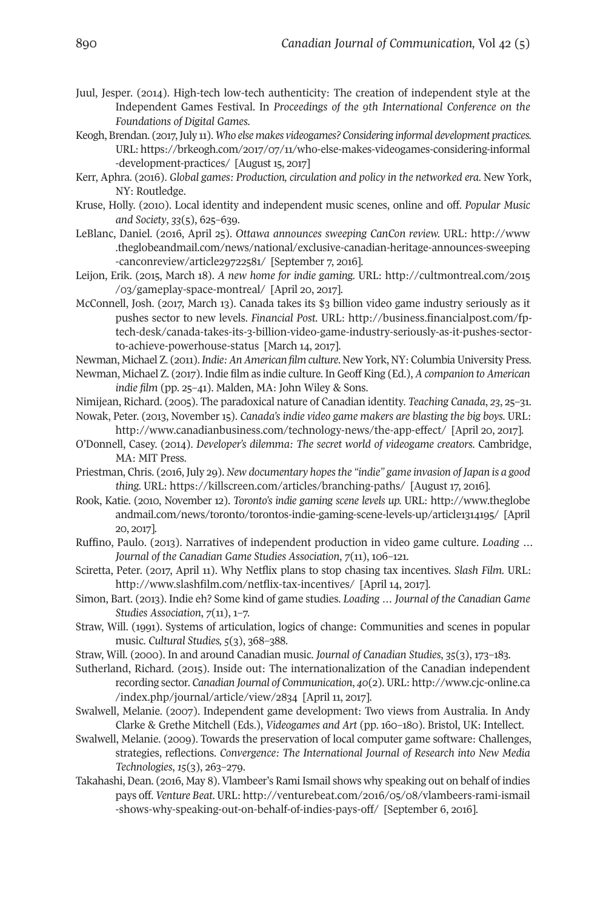- Juul, Jesper. (2014). High-tech low-tech authenticity: The creation of independent style at the Independent Games Festival. In *Proceedings of the 9th International Conference on the Foundations of Digital Games*.
- Keogh, Brendan. (2017,July 11). *Who else makes videogames? Considering informal development practices.* URL: [https://brkeogh.com/2017/07/11/who-else-makes-videogames-considering-informal](https://brkeogh.com/2017/07/11/who-else-makes-videogames-considering-informal-development-practices/) [-development-practices/](https://brkeogh.com/2017/07/11/who-else-makes-videogames-considering-informal-development-practices/) [August 15, 2017]
- Kerr, Aphra. (2016). *Global games: Production, circulation and policy in the networked era*. New York, NY: Routledge.
- Kruse, Holly. (2010). Local identity and independent music scenes, online and off. *Popular Music and Society*, *33*(5), 625–639.
- LeBlanc, Daniel. (2016, April 25). *Ottawa announces sweeping CanCon review.* URL: [http://www](http://www.theglobeandmail.com/news/national/exclusive-canadian-heritage-announces-sweeping-canconreview/article29722581/) [.theglobeandmail.com/news/national/exclusive-canadian-heritage-announces-sweeping](http://www.theglobeandmail.com/news/national/exclusive-canadian-heritage-announces-sweeping-canconreview/article29722581/) [-canconreview/article29722581/](http://www.theglobeandmail.com/news/national/exclusive-canadian-heritage-announces-sweeping-canconreview/article29722581/) [September 7, 2016].
- Leijon, Erik. (2015, March 18). *A new home for indie gaming.* URL: [http://cultmontreal.com/2015](http://cultmontreal.com/2015/03/gameplay-space-montreal/) [/03/gameplay-space-montreal/](http://cultmontreal.com/2015/03/gameplay-space-montreal/) [April 20, 2017].
- McConnell, Josh. (2017, March 13). Canada takes its \$3 billion video game industry seriously as it pushes sector to new levels. *Financial Post*. URL: [http://business.financialpost.com/fp](http://business.financialpost.com/fp-tech-desk/canada-takes-its-3-billion-video-game-industry-seriously-as-it-pushes-sector-to-achieve-powerhouse-status)[tech-desk/canada-takes-its-3-billion-video-game-industry-seriously-as-it-pushes-sector](http://business.financialpost.com/fp-tech-desk/canada-takes-its-3-billion-video-game-industry-seriously-as-it-pushes-sector-to-achieve-powerhouse-status)[to-achieve-powerhouse-status](http://business.financialpost.com/fp-tech-desk/canada-takes-its-3-billion-video-game-industry-seriously-as-it-pushes-sector-to-achieve-powerhouse-status) [March 14, 2017].
- Newman, Michael Z. (2011). *Indie: An American film culture*. New York, NY: Columbia University Press.
- Newman, Michael Z. (2017). Indie film as indie culture. In Geoff King (Ed.), *A companion to American indie film* (pp. 25–41). Malden, MA: John Wiley & Sons.
- Nimijean, Richard. (2005). The paradoxical nature of Canadian identity. *Teaching Canada*, *23*, 25–31. Nowak, Peter. (2013, November 15). *Canada's indie video game makers are blasting the big boys.* URL:
- <http://www.canadianbusiness.com/technology-news/the-app-effect/> [April 20, 2017]. O'Donnell, Casey. (2014). *Developer's dilemma: The secret world of videogame creators*. Cambridge, MA: MIT Press.
- Priestman, Chris. (2016, July 29). *New documentary hopesthe "indie" game invasion of Japan is a good thing.* URL: <https://killscreen.com/articles/branching-paths/> [August 17, 2016].
- Rook, Katie. (2010, November 12). *Toronto's indie gaming scene levels up.* URL: [http://www.theglobe](http://www.theglobeandmail.com/news/toronto/torontos-indie-gaming-scene-levels-up/article1314195/) [andmail.com/news/toronto/torontos-indie-gaming-scene-levels-up/article1314195/](http://www.theglobeandmail.com/news/toronto/torontos-indie-gaming-scene-levels-up/article1314195/) [April 20, 2017].
- Ruffino, Paulo. (2013). Narratives of independent production in video game culture. *Loading … Journal of the Canadian Game Studies Association*, *7*(11), 106–121.
- Sciretta, Peter. (2017, April 11). Why Netflix plans to stop chasing tax incentives. *Slash Film*. URL: <http://www.slashfilm.com/netflix-tax-incentives/> [April 14, 2017].
- Simon, Bart. (2013). Indie eh? Some kind of game studies. *Loading … Journal of the Canadian Game Studies Association*, *7*(11), 1–7.
- Straw, Will. (1991). Systems of articulation, logics of change: Communities and scenes in popular music. *Cultural Studies, 5*(3), 368–388.
- Straw, Will. (2000). In and around Canadian music. *Journal of Canadian Studies*, *35*(3), 173–183.
- Sutherland, Richard. (2015). Inside out: The internationalization of the Canadian independent recording sector. *Canadian Journal of Communication*, *40*(2). URL: [http://www.cjc-online.ca](http://www.cjc-online.ca/index.php/journal/article/view/2834) [/index.php/journal/article/view/2834](http://www.cjc-online.ca/index.php/journal/article/view/2834) [April 11, 2017].
- Swalwell, Melanie. (2007). Independent game development: Two views from Australia. In Andy Clarke & Grethe Mitchell (Eds.), *Videogames and Art* (pp. 160–180). Bristol, UK: Intellect.
- Swalwell, Melanie. (2009). Towards the preservation of local computer game software: Challenges, strategies, reflections. *Convergence: The International Journal of Research into New Media Technologies*, *15*(3), 263–279.
- Takahashi, Dean. (2016, May 8). Vlambeer's Rami Ismail shows why speaking out on behalf of indies pays off. *Venture Beat*. URL: [http://venturebeat.com/2016/05/08/vlambeers-rami-ismail](http://venturebeat.com/2016/05/08/vlambeers-rami-ismail-shows-why-speaking-out-on-behalf-of-indies-pays-off/) [-shows-why-speaking-out-on-behalf-of-indies-pays-off/](http://venturebeat.com/2016/05/08/vlambeers-rami-ismail-shows-why-speaking-out-on-behalf-of-indies-pays-off/) [September 6, 2016].